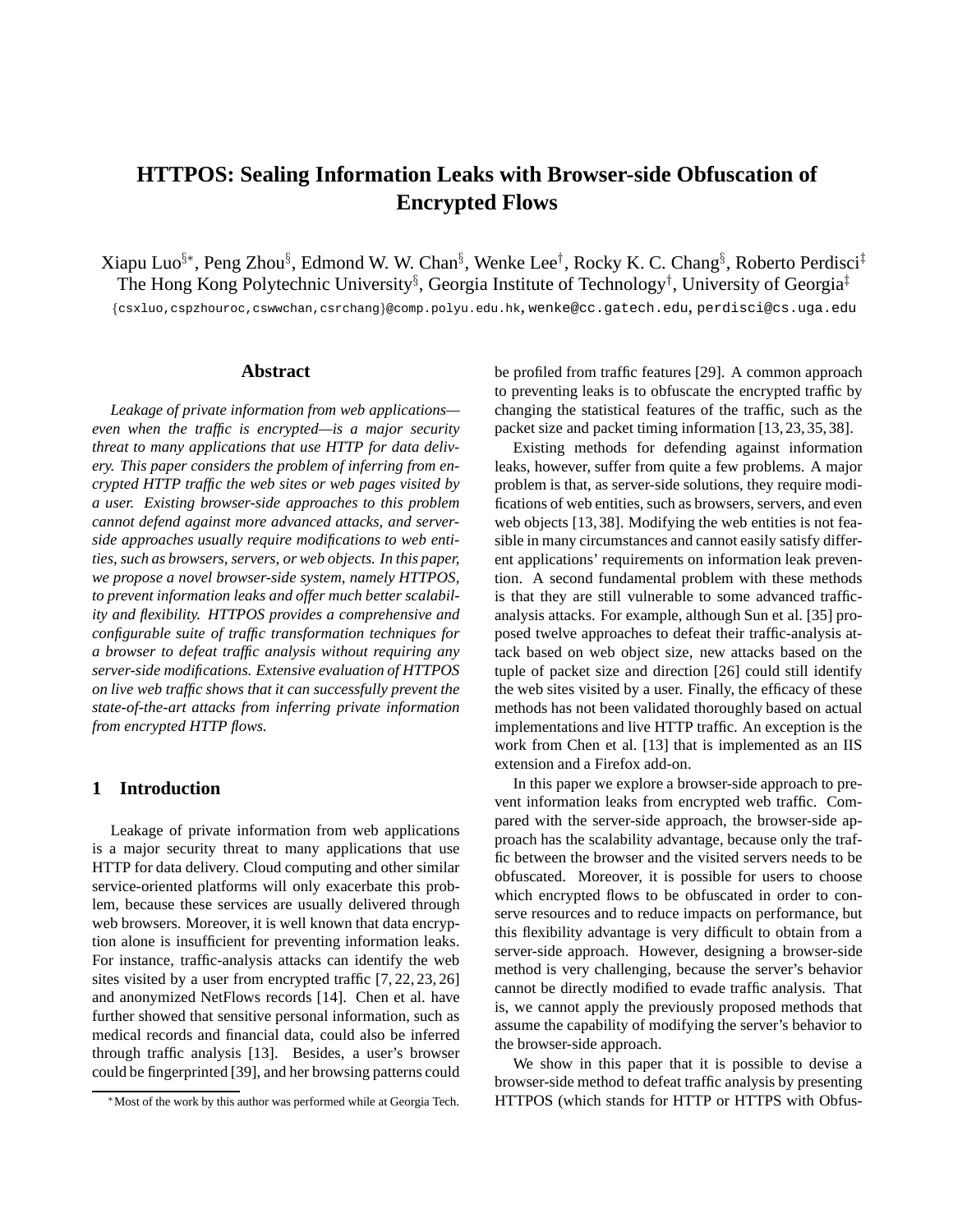# **HTTPOS: Sealing Information Leaks with Browser-side Obfuscation of Encrypted Flows**

Xiapu Luo§∗, Peng Zhou§ , Edmond W. W. Chan§ , Wenke Lee† , Rocky K. C. Chang§ , Roberto Perdisci‡ The Hong Kong Polytechnic University<sup>§</sup>, Georgia Institute of Technology<sup>†</sup>, University of Georgia<sup>‡</sup> {csxluo,cspzhouroc,cswwchan,csrchang}@comp.polyu.edu.hk, wenke@cc.gatech.edu, perdisci@cs.uga.edu

#### **Abstract**

*Leakage of private information from web applications even when the traffic is encrypted—is a major security threat to many applications that use HTTP for data delivery. This paper considers the problem of inferring from encrypted HTTP traffic the web sites or web pages visited by a user. Existing browser-side approaches to this problem cannot defend against more advanced attacks, and serverside approaches usually require modifications to web entities, such as browsers, servers, or web objects. In this paper, we propose a novel browser-side system, namely HTTPOS, to prevent information leaks and offer much better scalability and flexibility. HTTPOS provides a comprehensive and configurable suite of traffic transformation techniques for a browser to defeat traffic analysis without requiring any server-side modifications. Extensive evaluation of HTTPOS on live web traffic shows that it can successfully prevent the state-of-the-art attacks from inferring private information from encrypted HTTP flows.*

# **1 Introduction**

Leakage of private information from web applications is a major security threat to many applications that use HTTP for data delivery. Cloud computing and other similar service-oriented platforms will only exacerbate this problem, because these services are usually delivered through web browsers. Moreover, it is well known that data encryption alone is insufficient for preventing information leaks. For instance, traffic-analysis attacks can identify the web sites visited by a user from encrypted traffic [7, 22, 23, 26] and anonymized NetFlows records [14]. Chen et al. have further showed that sensitive personal information, such as medical records and financial data, could also be inferred through traffic analysis [13]. Besides, a user's browser could be fingerprinted [39], and her browsing patterns could be profiled from traffic features [29]. A common approach to preventing leaks is to obfuscate the encrypted traffic by changing the statistical features of the traffic, such as the packet size and packet timing information [13, 23, 35, 38].

Existing methods for defending against information leaks, however, suffer from quite a few problems. A major problem is that, as server-side solutions, they require modifications of web entities, such as browsers, servers, and even web objects [13, 38]. Modifying the web entities is not feasible in many circumstances and cannot easily satisfy different applications' requirements on information leak prevention. A second fundamental problem with these methods is that they are still vulnerable to some advanced trafficanalysis attacks. For example, although Sun et al. [35] proposed twelve approaches to defeat their traffic-analysis attack based on web object size, new attacks based on the tuple of packet size and direction [26] could still identify the web sites visited by a user. Finally, the efficacy of these methods has not been validated thoroughly based on actual implementations and live HTTP traffic. An exception is the work from Chen et al. [13] that is implemented as an IIS extension and a Firefox add-on.

In this paper we explore a browser-side approach to prevent information leaks from encrypted web traffic. Compared with the server-side approach, the browser-side approach has the scalability advantage, because only the traffic between the browser and the visited servers needs to be obfuscated. Moreover, it is possible for users to choose which encrypted flows to be obfuscated in order to conserve resources and to reduce impacts on performance, but this flexibility advantage is very difficult to obtain from a server-side approach. However, designing a browser-side method is very challenging, because the server's behavior cannot be directly modified to evade traffic analysis. That is, we cannot apply the previously proposed methods that assume the capability of modifying the server's behavior to the browser-side approach.

We show in this paper that it is possible to devise a browser-side method to defeat traffic analysis by presenting HTTPOS (which stands for HTTP or HTTPS with Obfus-

<sup>∗</sup>Most of the work by this author was performed while at Georgia Tech.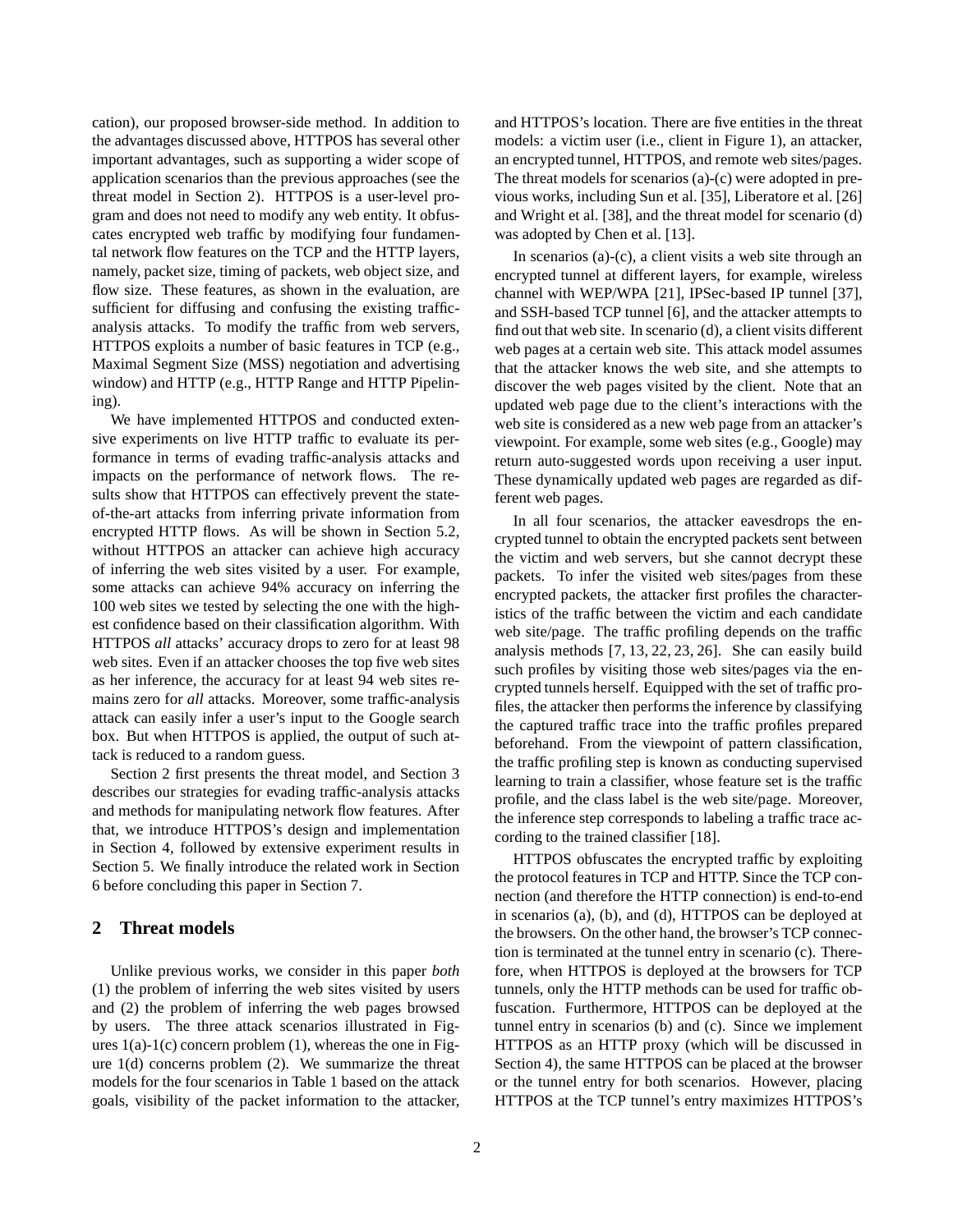cation), our proposed browser-side method. In addition to the advantages discussed above, HTTPOS has several other important advantages, such as supporting a wider scope of application scenarios than the previous approaches (see the threat model in Section 2). HTTPOS is a user-level program and does not need to modify any web entity. It obfuscates encrypted web traffic by modifying four fundamental network flow features on the TCP and the HTTP layers, namely, packet size, timing of packets, web object size, and flow size. These features, as shown in the evaluation, are sufficient for diffusing and confusing the existing trafficanalysis attacks. To modify the traffic from web servers, HTTPOS exploits a number of basic features in TCP (e.g., Maximal Segment Size (MSS) negotiation and advertising window) and HTTP (e.g., HTTP Range and HTTP Pipelining).

We have implemented HTTPOS and conducted extensive experiments on live HTTP traffic to evaluate its performance in terms of evading traffic-analysis attacks and impacts on the performance of network flows. The results show that HTTPOS can effectively prevent the stateof-the-art attacks from inferring private information from encrypted HTTP flows. As will be shown in Section 5.2, without HTTPOS an attacker can achieve high accuracy of inferring the web sites visited by a user. For example, some attacks can achieve 94% accuracy on inferring the 100 web sites we tested by selecting the one with the highest confidence based on their classification algorithm. With HTTPOS *all* attacks' accuracy drops to zero for at least 98 web sites. Even if an attacker chooses the top five web sites as her inference, the accuracy for at least 94 web sites remains zero for *all* attacks. Moreover, some traffic-analysis attack can easily infer a user's input to the Google search box. But when HTTPOS is applied, the output of such attack is reduced to a random guess.

Section 2 first presents the threat model, and Section 3 describes our strategies for evading traffic-analysis attacks and methods for manipulating network flow features. After that, we introduce HTTPOS's design and implementation in Section 4, followed by extensive experiment results in Section 5. We finally introduce the related work in Section 6 before concluding this paper in Section 7.

# **2 Threat models**

Unlike previous works, we consider in this paper *both* (1) the problem of inferring the web sites visited by users and (2) the problem of inferring the web pages browsed by users. The three attack scenarios illustrated in Figures  $1(a)-1(c)$  concern problem  $(1)$ , whereas the one in Figure  $1(d)$  concerns problem  $(2)$ . We summarize the threat models for the four scenarios in Table 1 based on the attack goals, visibility of the packet information to the attacker, and HTTPOS's location. There are five entities in the threat models: a victim user (i.e., client in Figure 1), an attacker, an encrypted tunnel, HTTPOS, and remote web sites/pages. The threat models for scenarios (a)-(c) were adopted in previous works, including Sun et al. [35], Liberatore et al. [26] and Wright et al. [38], and the threat model for scenario (d) was adopted by Chen et al. [13].

In scenarios (a)-(c), a client visits a web site through an encrypted tunnel at different layers, for example, wireless channel with WEP/WPA [21], IPSec-based IP tunnel [37], and SSH-based TCP tunnel [6], and the attacker attempts to find out that web site. In scenario (d), a client visits different web pages at a certain web site. This attack model assumes that the attacker knows the web site, and she attempts to discover the web pages visited by the client. Note that an updated web page due to the client's interactions with the web site is considered as a new web page from an attacker's viewpoint. For example, some web sites (e.g., Google) may return auto-suggested words upon receiving a user input. These dynamically updated web pages are regarded as different web pages.

In all four scenarios, the attacker eavesdrops the encrypted tunnel to obtain the encrypted packets sent between the victim and web servers, but she cannot decrypt these packets. To infer the visited web sites/pages from these encrypted packets, the attacker first profiles the characteristics of the traffic between the victim and each candidate web site/page. The traffic profiling depends on the traffic analysis methods [7, 13, 22, 23, 26]. She can easily build such profiles by visiting those web sites/pages via the encrypted tunnels herself. Equipped with the set of traffic profiles, the attacker then performs the inference by classifying the captured traffic trace into the traffic profiles prepared beforehand. From the viewpoint of pattern classification, the traffic profiling step is known as conducting supervised learning to train a classifier, whose feature set is the traffic profile, and the class label is the web site/page. Moreover, the inference step corresponds to labeling a traffic trace according to the trained classifier [18].

HTTPOS obfuscates the encrypted traffic by exploiting the protocol features in TCP and HTTP. Since the TCP connection (and therefore the HTTP connection) is end-to-end in scenarios (a), (b), and (d), HTTPOS can be deployed at the browsers. On the other hand, the browser's TCP connection is terminated at the tunnel entry in scenario (c). Therefore, when HTTPOS is deployed at the browsers for TCP tunnels, only the HTTP methods can be used for traffic obfuscation. Furthermore, HTTPOS can be deployed at the tunnel entry in scenarios (b) and (c). Since we implement HTTPOS as an HTTP proxy (which will be discussed in Section 4), the same HTTPOS can be placed at the browser or the tunnel entry for both scenarios. However, placing HTTPOS at the TCP tunnel's entry maximizes HTTPOS's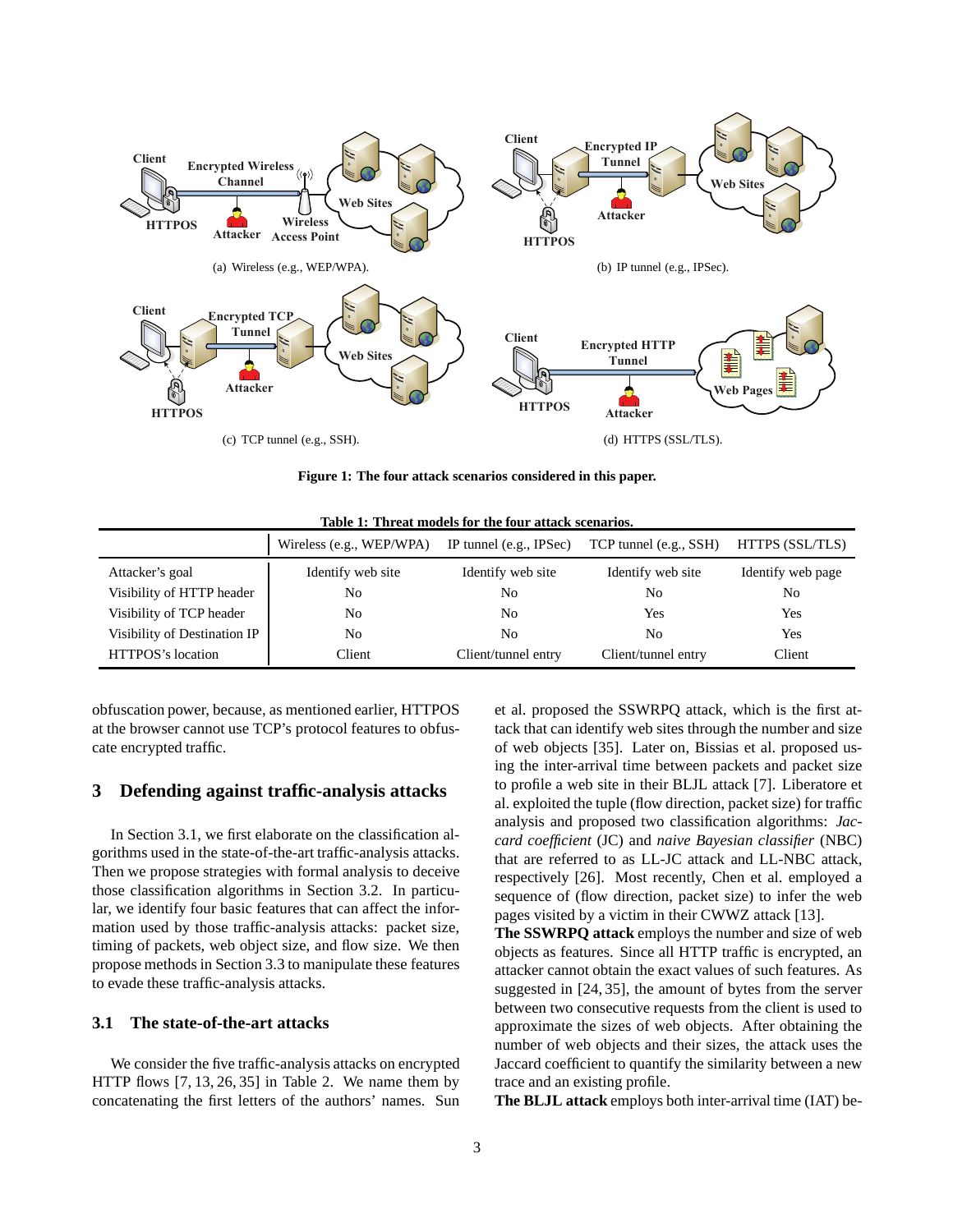

**Figure 1: The four attack scenarios considered in this paper.**

|                              | Wireless (e.g., WEP/WPA) | IP tunnel (e.g., IPSec) | TCP tunnel (e.g., SSH) | HTTPS (SSL/TLS)   |
|------------------------------|--------------------------|-------------------------|------------------------|-------------------|
| Attacker's goal              | Identify web site        | Identify web site       | Identify web site      | Identify web page |
| Visibility of HTTP header    | No                       | No                      | No                     | No                |
| Visibility of TCP header     | No                       | No                      | Yes                    | Yes               |
| Visibility of Destination IP | No                       | No                      | No                     | Yes               |
| HTTPOS's location            | Client                   | Client/tunnel entry     | Client/tunnel entry    | Client            |

**Table 1: Threat models for the four attack scenarios.**

obfuscation power, because, as mentioned earlier, HTTPOS at the browser cannot use TCP's protocol features to obfuscate encrypted traffic.

# **3 Defending against traffic-analysis attacks**

In Section 3.1, we first elaborate on the classification algorithms used in the state-of-the-art traffic-analysis attacks. Then we propose strategies with formal analysis to deceive those classification algorithms in Section 3.2. In particular, we identify four basic features that can affect the information used by those traffic-analysis attacks: packet size, timing of packets, web object size, and flow size. We then propose methods in Section 3.3 to manipulate these features to evade these traffic-analysis attacks.

# **3.1 The state-of-the-art attacks**

We consider the five traffic-analysis attacks on encrypted HTTP flows [7, 13, 26, 35] in Table 2. We name them by concatenating the first letters of the authors' names. Sun et al. proposed the SSWRPQ attack, which is the first attack that can identify web sites through the number and size of web objects [35]. Later on, Bissias et al. proposed using the inter-arrival time between packets and packet size to profile a web site in their BLJL attack [7]. Liberatore et al. exploited the tuple (flow direction, packet size) for traffic analysis and proposed two classification algorithms: *Jaccard coefficient* (JC) and *naive Bayesian classifier* (NBC) that are referred to as LL-JC attack and LL-NBC attack, respectively [26]. Most recently, Chen et al. employed a sequence of (flow direction, packet size) to infer the web pages visited by a victim in their CWWZ attack [13].

**The SSWRPQ attack** employs the number and size of web objects as features. Since all HTTP traffic is encrypted, an attacker cannot obtain the exact values of such features. As suggested in [24, 35], the amount of bytes from the server between two consecutive requests from the client is used to approximate the sizes of web objects. After obtaining the number of web objects and their sizes, the attack uses the Jaccard coefficient to quantify the similarity between a new trace and an existing profile.

**The BLJL attack** employs both inter-arrival time (IAT) be-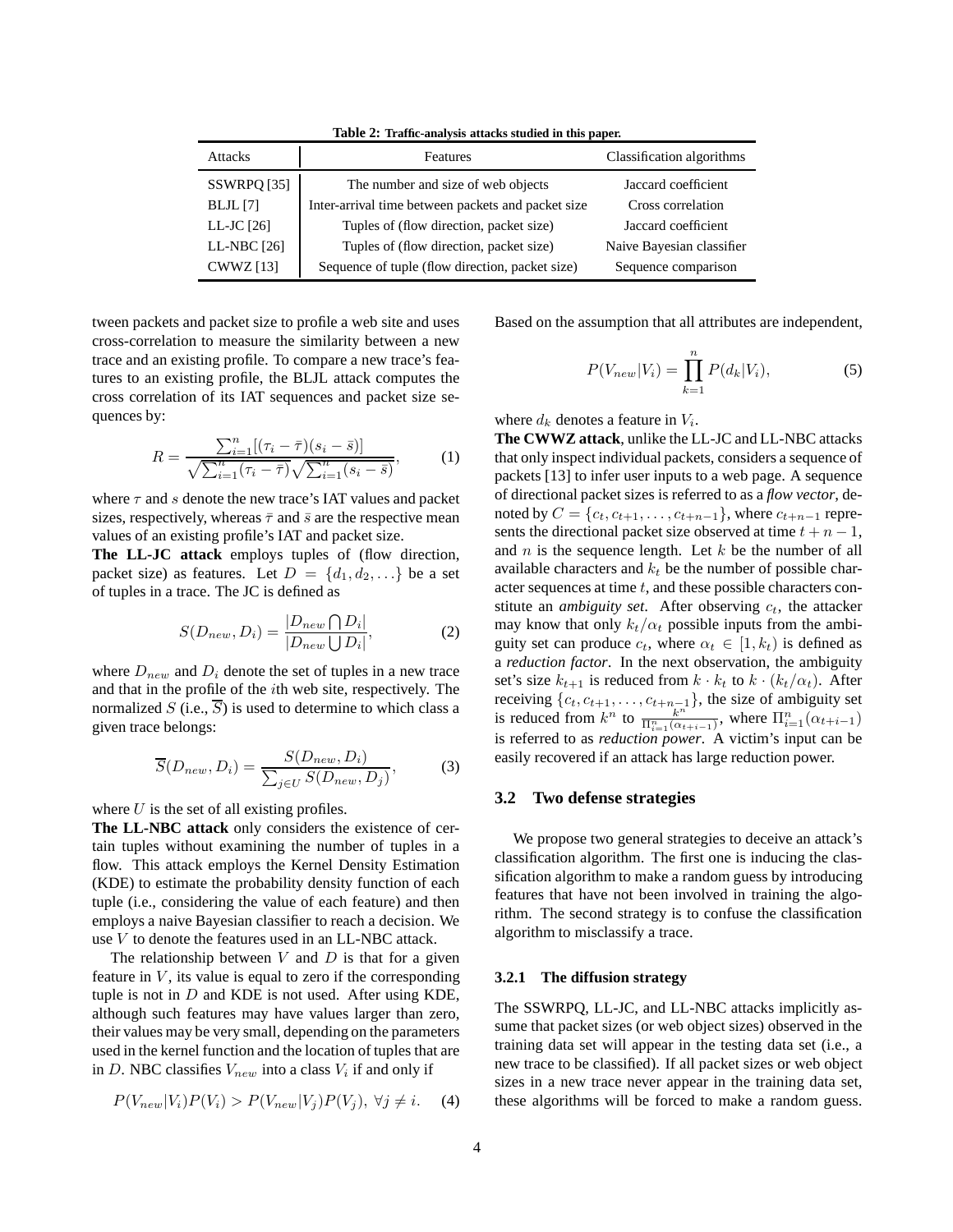**Table 2: Traffic-analysis attacks studied in this paper.**

| <b>Attacks</b>   | Features                                           | Classification algorithms |  |
|------------------|----------------------------------------------------|---------------------------|--|
| SSWRPQ [35]      | The number and size of web objects                 | Jaccard coefficient       |  |
| $BLJL$ [7]       | Inter-arrival time between packets and packet size | Cross correlation         |  |
| LL-JC $[26]$     | Tuples of (flow direction, packet size)            | Jaccard coefficient       |  |
| LL-NBC [26]      | Tuples of (flow direction, packet size)            | Naive Bayesian classifier |  |
| <b>CWWZ</b> [13] | Sequence of tuple (flow direction, packet size)    | Sequence comparison       |  |

tween packets and packet size to profile a web site and uses cross-correlation to measure the similarity between a new trace and an existing profile. To compare a new trace's features to an existing profile, the BLJL attack computes the cross correlation of its IAT sequences and packet size sequences by:

$$
R = \frac{\sum_{i=1}^{n} [(\tau_i - \bar{\tau})(s_i - \bar{s})]}{\sqrt{\sum_{i=1}^{n} (\tau_i - \bar{\tau})} \sqrt{\sum_{i=1}^{n} (s_i - \bar{s})}},
$$
(1)

where  $\tau$  and s denote the new trace's IAT values and packet sizes, respectively, whereas  $\bar{\tau}$  and  $\bar{s}$  are the respective mean values of an existing profile's IAT and packet size.

**The LL-JC attack** employs tuples of (flow direction, packet size) as features. Let  $D = \{d_1, d_2, ...\}$  be a set of tuples in a trace. The JC is defined as

$$
S(D_{new}, D_i) = \frac{|D_{new} \bigcap D_i|}{|D_{new} \bigcup D_i|},
$$
 (2)

where  $D_{new}$  and  $D_i$  denote the set of tuples in a new trace and that in the profile of the ith web site, respectively. The normalized  $S$  (i.e.,  $S$ ) is used to determine to which class a given trace belongs:

$$
\overline{S}(D_{new}, D_i) = \frac{S(D_{new}, D_i)}{\sum_{j \in U} S(D_{new}, D_j)},
$$
\n(3)

where  $U$  is the set of all existing profiles.

**The LL-NBC attack** only considers the existence of certain tuples without examining the number of tuples in a flow. This attack employs the Kernel Density Estimation (KDE) to estimate the probability density function of each tuple (i.e., considering the value of each feature) and then employs a naive Bayesian classifier to reach a decision. We use V to denote the features used in an LL-NBC attack.

The relationship between  $V$  and  $D$  is that for a given feature in  $V$ , its value is equal to zero if the corresponding tuple is not in  $D$  and KDE is not used. After using KDE, although such features may have values larger than zero, their values may be very small, depending on the parameters used in the kernel function and the location of tuples that are in D. NBC classifies  $V_{new}$  into a class  $V_i$  if and only if

$$
P(V_{new}|V_i)P(V_i) > P(V_{new}|V_j)P(V_j), \forall j \neq i. \tag{4}
$$

Based on the assumption that all attributes are independent,

$$
P(V_{new}|V_i) = \prod_{k=1}^{n} P(d_k|V_i),
$$
 (5)

where  $d_k$  denotes a feature in  $V_i$ .

**The CWWZ attack**, unlike the LL-JC and LL-NBC attacks that only inspect individual packets, considers a sequence of packets [13] to infer user inputs to a web page. A sequence of directional packet sizes is referred to as a *flow vector*, denoted by  $C = \{c_t, c_{t+1}, \ldots, c_{t+n-1}\}$ , where  $c_{t+n-1}$  represents the directional packet size observed at time  $t + n - 1$ , and  $n$  is the sequence length. Let  $k$  be the number of all available characters and  $k_t$  be the number of possible character sequences at time  $t$ , and these possible characters constitute an *ambiguity set*. After observing  $c_t$ , the attacker may know that only  $k_t/\alpha_t$  possible inputs from the ambiguity set can produce  $c_t$ , where  $\alpha_t \in [1, k_t)$  is defined as a *reduction factor*. In the next observation, the ambiguity set's size  $k_{t+1}$  is reduced from  $k \cdot k_t$  to  $k \cdot (k_t/\alpha_t)$ . After receiving  $\{c_t, c_{t+1}, \ldots, c_{t+n-1}\}$ , the size of ambiguity set is reduced from  $k^n$  to  $\frac{k^{n+1}}{\prod_{i=1}^n (\alpha_{t+i-1})}$ , where  $\prod_{i=1}^n (\alpha_{t+i-1})$ is referred to as *reduction power*. A victim's input can be easily recovered if an attack has large reduction power.

#### **3.2 Two defense strategies**

We propose two general strategies to deceive an attack's classification algorithm. The first one is inducing the classification algorithm to make a random guess by introducing features that have not been involved in training the algorithm. The second strategy is to confuse the classification algorithm to misclassify a trace.

### **3.2.1 The diffusion strategy**

The SSWRPQ, LL-JC, and LL-NBC attacks implicitly assume that packet sizes (or web object sizes) observed in the training data set will appear in the testing data set (i.e., a new trace to be classified). If all packet sizes or web object sizes in a new trace never appear in the training data set, these algorithms will be forced to make a random guess.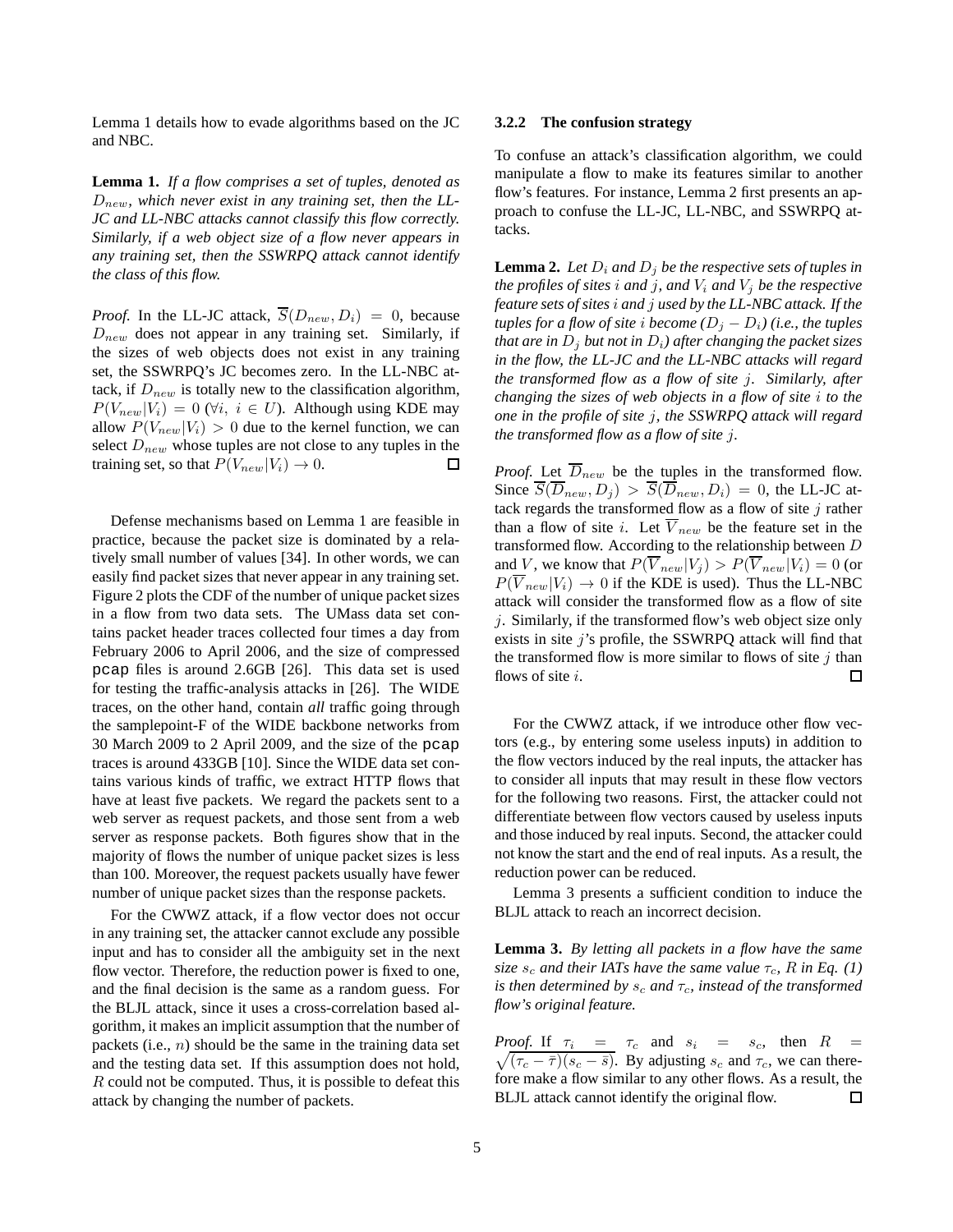Lemma 1 details how to evade algorithms based on the JC and NBC.

**Lemma 1.** *If a flow comprises a set of tuples, denoted as* Dnew*, which never exist in any training set, then the LL-JC and LL-NBC attacks cannot classify this flow correctly. Similarly, if a web object size of a flow never appears in any training set, then the SSWRPQ attack cannot identify the class of this flow.*

*Proof.* In the LL-JC attack,  $\overline{S}(D_{new}, D_i) = 0$ , because  $D_{new}$  does not appear in any training set. Similarly, if the sizes of web objects does not exist in any training set, the SSWRPQ's JC becomes zero. In the LL-NBC attack, if  $D_{new}$  is totally new to the classification algorithm,  $P(V_{new}|V_i) = 0$  ( $\forall i, i \in U$ ). Although using KDE may allow  $P(V_{new}|V_i) > 0$  due to the kernel function, we can select  $D_{new}$  whose tuples are not close to any tuples in the training set, so that  $P(V_{new}|V_i) \rightarrow 0$ . □

Defense mechanisms based on Lemma 1 are feasible in practice, because the packet size is dominated by a relatively small number of values [34]. In other words, we can easily find packet sizes that never appear in any training set. Figure 2 plots the CDF of the number of unique packet sizes in a flow from two data sets. The UMass data set contains packet header traces collected four times a day from February 2006 to April 2006, and the size of compressed pcap files is around 2.6GB [26]. This data set is used for testing the traffic-analysis attacks in [26]. The WIDE traces, on the other hand, contain *all* traffic going through the samplepoint-F of the WIDE backbone networks from 30 March 2009 to 2 April 2009, and the size of the pcap traces is around 433GB [10]. Since the WIDE data set contains various kinds of traffic, we extract HTTP flows that have at least five packets. We regard the packets sent to a web server as request packets, and those sent from a web server as response packets. Both figures show that in the majority of flows the number of unique packet sizes is less than 100. Moreover, the request packets usually have fewer number of unique packet sizes than the response packets.

For the CWWZ attack, if a flow vector does not occur in any training set, the attacker cannot exclude any possible input and has to consider all the ambiguity set in the next flow vector. Therefore, the reduction power is fixed to one, and the final decision is the same as a random guess. For the BLJL attack, since it uses a cross-correlation based algorithm, it makes an implicit assumption that the number of packets (i.e.,  $n$ ) should be the same in the training data set and the testing data set. If this assumption does not hold, R could not be computed. Thus, it is possible to defeat this attack by changing the number of packets.

#### **3.2.2 The confusion strategy**

To confuse an attack's classification algorithm, we could manipulate a flow to make its features similar to another flow's features. For instance, Lemma 2 first presents an approach to confuse the LL-JC, LL-NBC, and SSWRPQ attacks.

**Lemma 2.** Let  $D_i$  and  $D_j$  be the respective sets of tuples in *the profiles of sites i and j, and*  $V_i$  *and*  $V_j$  *be the respective feature sets of sites* i *and* j *used by the LL-NBC attack. If the tuples for a flow of site i become*  $(D_j - D_i)$  (*i.e., the tuples that are in*  $D_j$  *but not in*  $D_i$ *) after changing the packet sizes in the flow, the LL-JC and the LL-NBC attacks will regard the transformed flow as a flow of site* j*. Similarly, after changing the sizes of web objects in a flow of site* i *to the one in the profile of site* j*, the SSWRPQ attack will regard the transformed flow as a flow of site* j*.*

*Proof.* Let  $\overline{D}_{new}$  be the tuples in the transformed flow. Since  $\overline{S}(\overline{D}_{new}, D_i) > \overline{S}(\overline{D}_{new}, D_i) = 0$ , the LL-JC attack regards the transformed flow as a flow of site  $j$  rather than a flow of site i. Let  $\overline{V}_{new}$  be the feature set in the transformed flow. According to the relationship between D and V, we know that  $P(\overline{V}_{new}|V_i) > P(\overline{V}_{new}|V_i) = 0$  (or  $P(\overline{V}_{new}|V_i) \rightarrow 0$  if the KDE is used). Thus the LL-NBC attack will consider the transformed flow as a flow of site j. Similarly, if the transformed flow's web object size only exists in site  $j$ 's profile, the SSWRPQ attack will find that the transformed flow is more similar to flows of site  $j$  than flows of site *i*. П

For the CWWZ attack, if we introduce other flow vectors (e.g., by entering some useless inputs) in addition to the flow vectors induced by the real inputs, the attacker has to consider all inputs that may result in these flow vectors for the following two reasons. First, the attacker could not differentiate between flow vectors caused by useless inputs and those induced by real inputs. Second, the attacker could not know the start and the end of real inputs. As a result, the reduction power can be reduced.

Lemma 3 presents a sufficient condition to induce the BLJL attack to reach an incorrect decision.

**Lemma 3.** *By letting all packets in a flow have the same size*  $s_c$  *and their IATs have the same value*  $\tau_c$ *, R in Eq. (1) is then determined by*  $s_c$  *and*  $\tau_c$ *, instead of the transformed flow's original feature.*

*Proof.* If  $\tau_i = \tau_c$  and  $s_i = s_c$ , then  $R =$  $\sqrt{(\tau_c - \overline{\tau})(s_c - \overline{s})}$ . By adjusting  $s_c$  and  $\tau_c$ , we can therefore make a flow similar to any other flows. As a result, the BLJL attack cannot identify the original flow.  $\Box$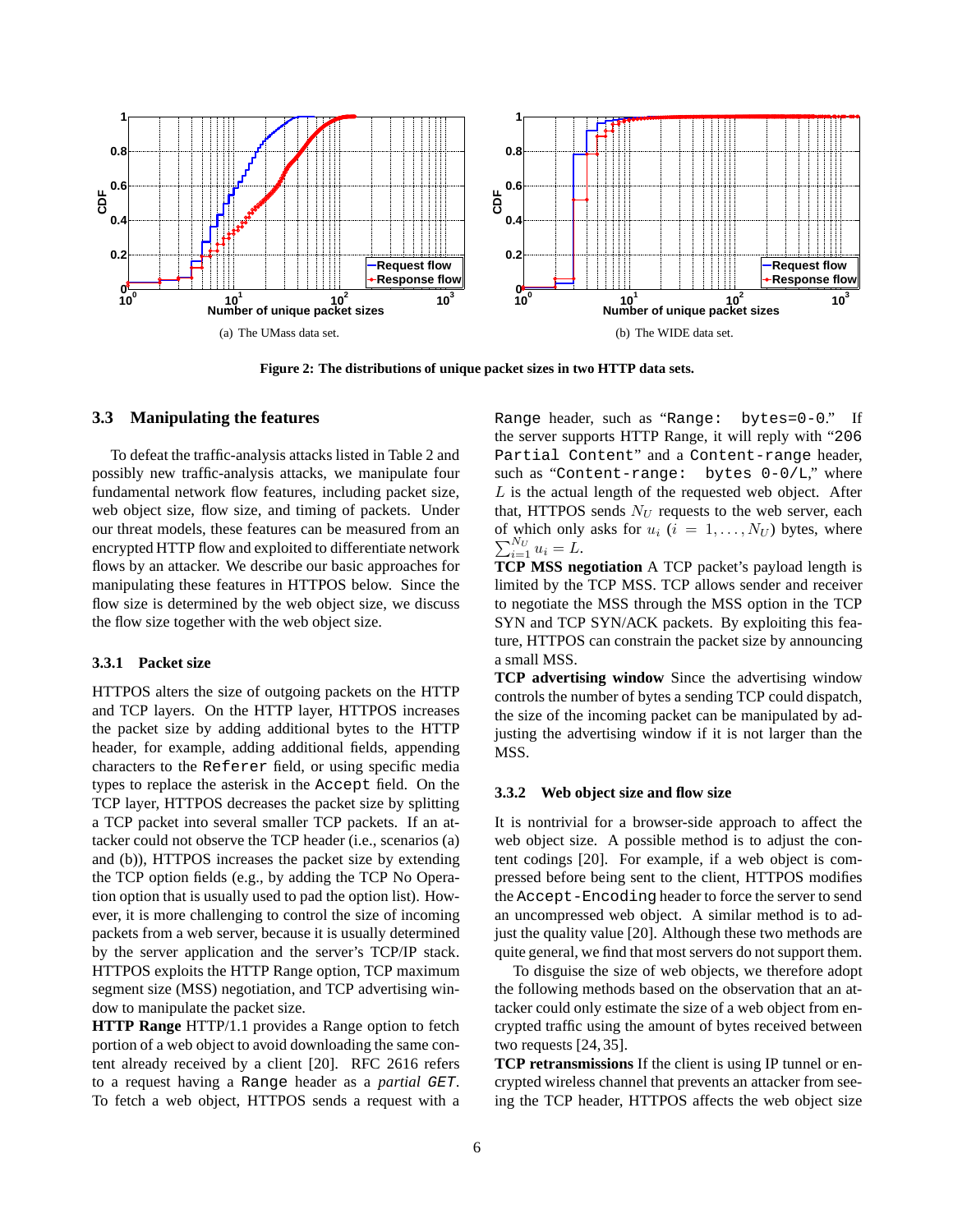

**Figure 2: The distributions of unique packet sizes in two HTTP data sets.**

# **3.3 Manipulating the features**

To defeat the traffic-analysis attacks listed in Table 2 and possibly new traffic-analysis attacks, we manipulate four fundamental network flow features, including packet size, web object size, flow size, and timing of packets. Under our threat models, these features can be measured from an encrypted HTTP flow and exploited to differentiate network flows by an attacker. We describe our basic approaches for manipulating these features in HTTPOS below. Since the flow size is determined by the web object size, we discuss the flow size together with the web object size.

#### **3.3.1 Packet size**

HTTPOS alters the size of outgoing packets on the HTTP and TCP layers. On the HTTP layer, HTTPOS increases the packet size by adding additional bytes to the HTTP header, for example, adding additional fields, appending characters to the Referer field, or using specific media types to replace the asterisk in the Accept field. On the TCP layer, HTTPOS decreases the packet size by splitting a TCP packet into several smaller TCP packets. If an attacker could not observe the TCP header (i.e., scenarios (a) and (b)), HTTPOS increases the packet size by extending the TCP option fields (e.g., by adding the TCP No Operation option that is usually used to pad the option list). However, it is more challenging to control the size of incoming packets from a web server, because it is usually determined by the server application and the server's TCP/IP stack. HTTPOS exploits the HTTP Range option, TCP maximum segment size (MSS) negotiation, and TCP advertising window to manipulate the packet size.

**HTTP Range** HTTP/1.1 provides a Range option to fetch portion of a web object to avoid downloading the same content already received by a client [20]. RFC 2616 refers to a request having a Range header as a *partial* GET. To fetch a web object, HTTPOS sends a request with a Range header, such as "Range: bytes=0-0." If the server supports HTTP Range, it will reply with "206 Partial Content" and a Content-range header, such as "Content-range: bytes 0-0/L," where  $L$  is the actual length of the requested web object. After that, HTTPOS sends  $N_U$  requests to the web server, each of which only asks for  $u_i$  ( $i = 1, \ldots, N_U$ ) bytes, where  $\sum_{i=1}^{N_U} u_i = L.$ 

**TCP MSS negotiation** A TCP packet's payload length is limited by the TCP MSS. TCP allows sender and receiver to negotiate the MSS through the MSS option in the TCP SYN and TCP SYN/ACK packets. By exploiting this feature, HTTPOS can constrain the packet size by announcing a small MSS.

**TCP advertising window** Since the advertising window controls the number of bytes a sending TCP could dispatch, the size of the incoming packet can be manipulated by adjusting the advertising window if it is not larger than the MSS.

#### **3.3.2 Web object size and flow size**

It is nontrivial for a browser-side approach to affect the web object size. A possible method is to adjust the content codings [20]. For example, if a web object is compressed before being sent to the client, HTTPOS modifies the Accept-Encoding header to force the server to send an uncompressed web object. A similar method is to adjust the quality value [20]. Although these two methods are quite general, we find that most servers do not support them.

To disguise the size of web objects, we therefore adopt the following methods based on the observation that an attacker could only estimate the size of a web object from encrypted traffic using the amount of bytes received between two requests [24, 35].

**TCP retransmissions** If the client is using IP tunnel or encrypted wireless channel that prevents an attacker from seeing the TCP header, HTTPOS affects the web object size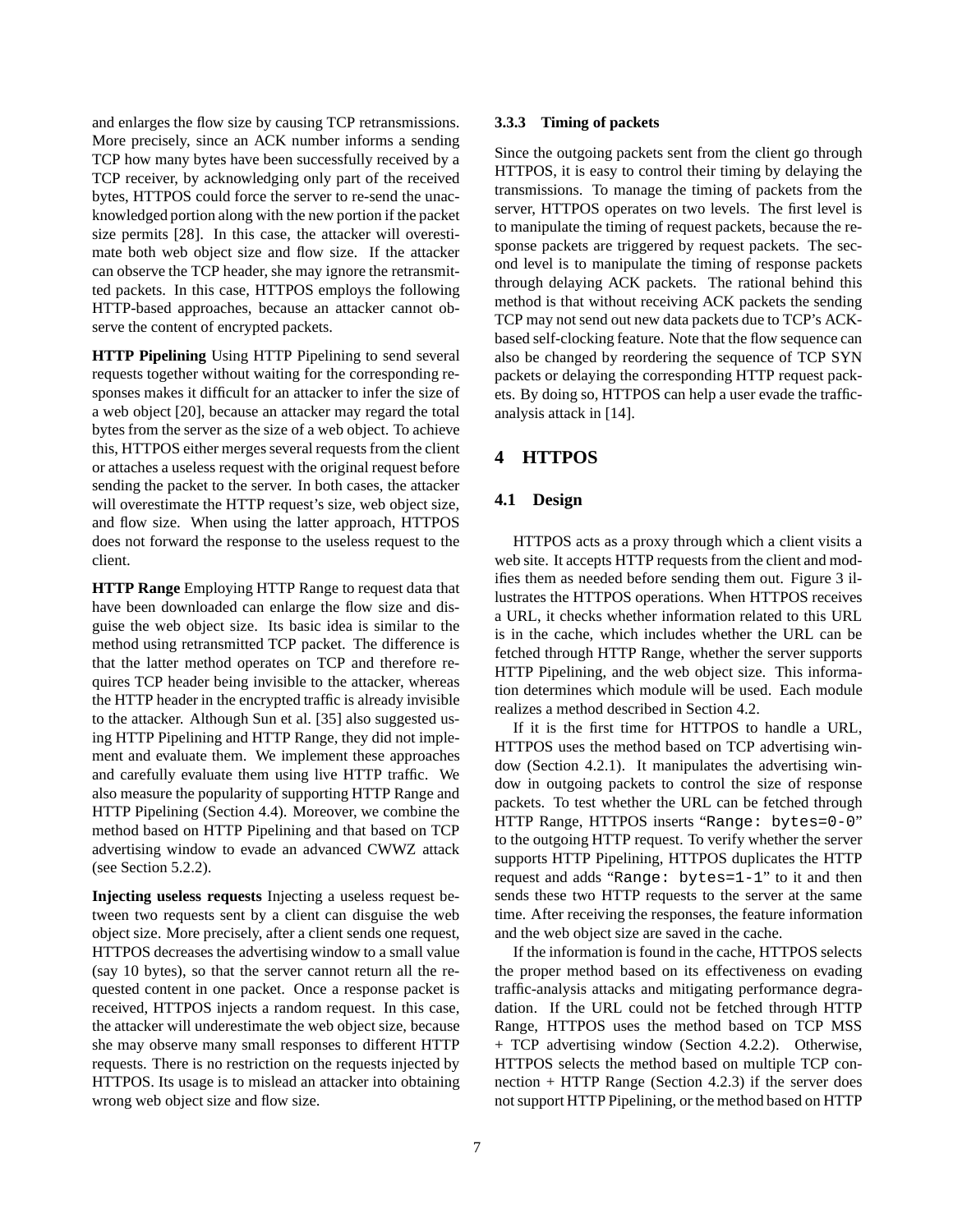and enlarges the flow size by causing TCP retransmissions. More precisely, since an ACK number informs a sending TCP how many bytes have been successfully received by a TCP receiver, by acknowledging only part of the received bytes, HTTPOS could force the server to re-send the unacknowledged portion along with the new portion if the packet size permits [28]. In this case, the attacker will overestimate both web object size and flow size. If the attacker can observe the TCP header, she may ignore the retransmitted packets. In this case, HTTPOS employs the following HTTP-based approaches, because an attacker cannot observe the content of encrypted packets.

**HTTP Pipelining** Using HTTP Pipelining to send several requests together without waiting for the corresponding responses makes it difficult for an attacker to infer the size of a web object [20], because an attacker may regard the total bytes from the server as the size of a web object. To achieve this, HTTPOS either merges several requests from the client or attaches a useless request with the original request before sending the packet to the server. In both cases, the attacker will overestimate the HTTP request's size, web object size, and flow size. When using the latter approach, HTTPOS does not forward the response to the useless request to the client.

**HTTP Range** Employing HTTP Range to request data that have been downloaded can enlarge the flow size and disguise the web object size. Its basic idea is similar to the method using retransmitted TCP packet. The difference is that the latter method operates on TCP and therefore requires TCP header being invisible to the attacker, whereas the HTTP header in the encrypted traffic is already invisible to the attacker. Although Sun et al. [35] also suggested using HTTP Pipelining and HTTP Range, they did not implement and evaluate them. We implement these approaches and carefully evaluate them using live HTTP traffic. We also measure the popularity of supporting HTTP Range and HTTP Pipelining (Section 4.4). Moreover, we combine the method based on HTTP Pipelining and that based on TCP advertising window to evade an advanced CWWZ attack (see Section 5.2.2).

**Injecting useless requests** Injecting a useless request between two requests sent by a client can disguise the web object size. More precisely, after a client sends one request, HTTPOS decreases the advertising window to a small value (say 10 bytes), so that the server cannot return all the requested content in one packet. Once a response packet is received, HTTPOS injects a random request. In this case, the attacker will underestimate the web object size, because she may observe many small responses to different HTTP requests. There is no restriction on the requests injected by HTTPOS. Its usage is to mislead an attacker into obtaining wrong web object size and flow size.

#### **3.3.3 Timing of packets**

Since the outgoing packets sent from the client go through HTTPOS, it is easy to control their timing by delaying the transmissions. To manage the timing of packets from the server, HTTPOS operates on two levels. The first level is to manipulate the timing of request packets, because the response packets are triggered by request packets. The second level is to manipulate the timing of response packets through delaying ACK packets. The rational behind this method is that without receiving ACK packets the sending TCP may not send out new data packets due to TCP's ACKbased self-clocking feature. Note that the flow sequence can also be changed by reordering the sequence of TCP SYN packets or delaying the corresponding HTTP request packets. By doing so, HTTPOS can help a user evade the trafficanalysis attack in [14].

# **4 HTTPOS**

### **4.1 Design**

HTTPOS acts as a proxy through which a client visits a web site. It accepts HTTP requests from the client and modifies them as needed before sending them out. Figure 3 illustrates the HTTPOS operations. When HTTPOS receives a URL, it checks whether information related to this URL is in the cache, which includes whether the URL can be fetched through HTTP Range, whether the server supports HTTP Pipelining, and the web object size. This information determines which module will be used. Each module realizes a method described in Section 4.2.

If it is the first time for HTTPOS to handle a URL, HTTPOS uses the method based on TCP advertising window (Section 4.2.1). It manipulates the advertising window in outgoing packets to control the size of response packets. To test whether the URL can be fetched through HTTP Range, HTTPOS inserts "Range: bytes=0-0" to the outgoing HTTP request. To verify whether the server supports HTTP Pipelining, HTTPOS duplicates the HTTP request and adds "Range: bytes=1-1" to it and then sends these two HTTP requests to the server at the same time. After receiving the responses, the feature information and the web object size are saved in the cache.

If the information is found in the cache, HTTPOS selects the proper method based on its effectiveness on evading traffic-analysis attacks and mitigating performance degradation. If the URL could not be fetched through HTTP Range, HTTPOS uses the method based on TCP MSS + TCP advertising window (Section 4.2.2). Otherwise, HTTPOS selects the method based on multiple TCP connection + HTTP Range (Section 4.2.3) if the server does not support HTTP Pipelining, or the method based on HTTP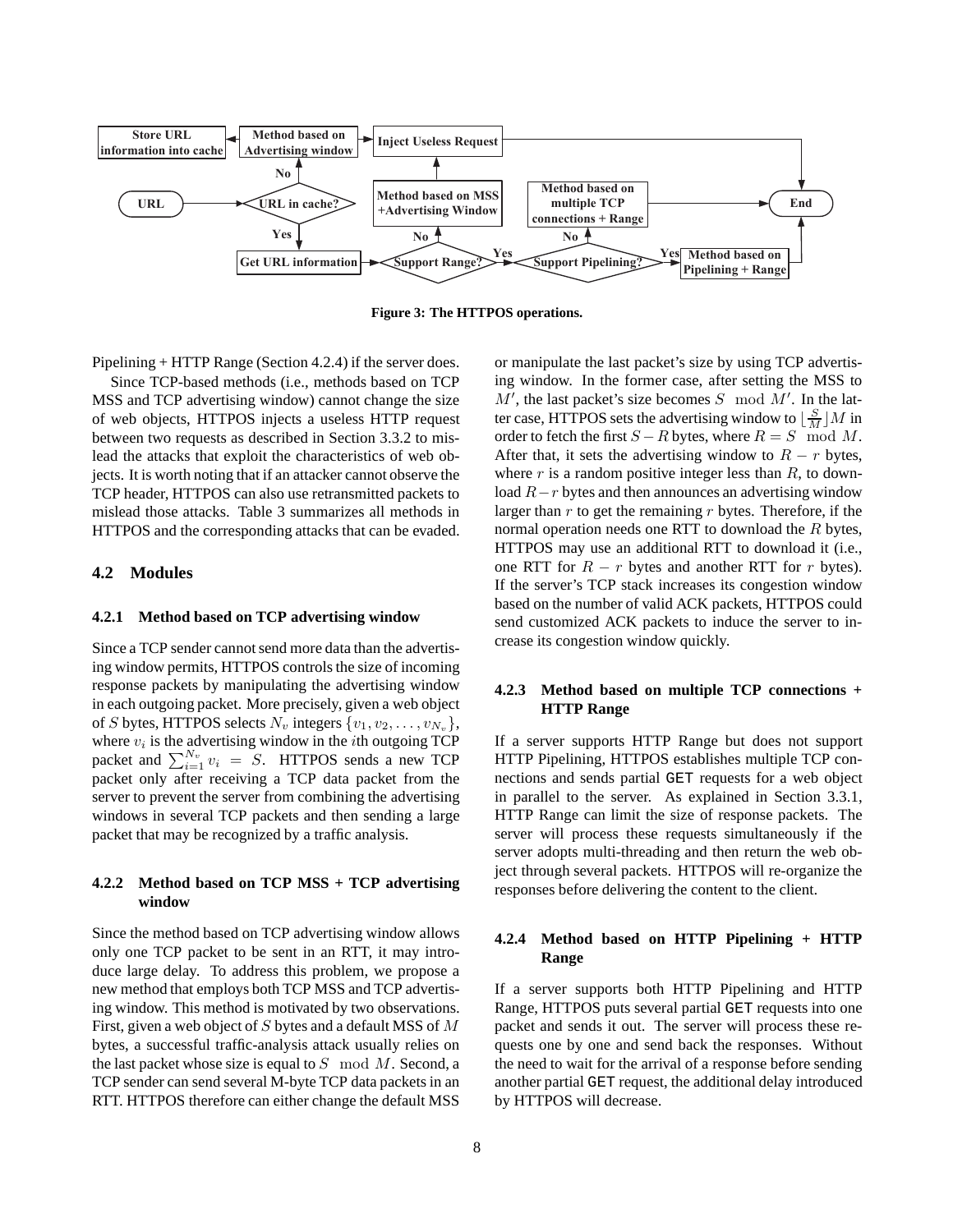

**Figure 3: The HTTPOS operations.**

Pipelining + HTTP Range (Section 4.2.4) if the server does.

Since TCP-based methods (i.e., methods based on TCP MSS and TCP advertising window) cannot change the size of web objects, HTTPOS injects a useless HTTP request between two requests as described in Section 3.3.2 to mislead the attacks that exploit the characteristics of web objects. It is worth noting that if an attacker cannot observe the TCP header, HTTPOS can also use retransmitted packets to mislead those attacks. Table 3 summarizes all methods in HTTPOS and the corresponding attacks that can be evaded.

### **4.2 Modules**

#### **4.2.1 Method based on TCP advertising window**

Since a TCP sender cannot send more data than the advertising window permits, HTTPOS controls the size of incoming response packets by manipulating the advertising window in each outgoing packet. More precisely, given a web object of S bytes, HTTPOS selects  $N_v$  integers  $\{v_1, v_2, \ldots, v_{N_v}\},$ where  $v_i$  is the advertising window in the *i*th outgoing TCP packet and  $\sum_{i=1}^{N_v} v_i = S$ . HTTPOS sends a new TCP packet only after receiving a TCP data packet from the server to prevent the server from combining the advertising windows in several TCP packets and then sending a large packet that may be recognized by a traffic analysis.

# **4.2.2 Method based on TCP MSS + TCP advertising window**

Since the method based on TCP advertising window allows only one TCP packet to be sent in an RTT, it may introduce large delay. To address this problem, we propose a new method that employs both TCP MSS and TCP advertising window. This method is motivated by two observations. First, given a web object of  $S$  bytes and a default MSS of  $M$ bytes, a successful traffic-analysis attack usually relies on the last packet whose size is equal to  $S \mod M$ . Second, a TCP sender can send several M-byte TCP data packets in an RTT. HTTPOS therefore can either change the default MSS or manipulate the last packet's size by using TCP advertising window. In the former case, after setting the MSS to  $M'$ , the last packet's size becomes  $S \mod M'$ . In the latter case, HTTPOS sets the advertising window to  $\lfloor \frac{S}{M} \rfloor M$  in order to fetch the first  $S - R$  bytes, where  $R = S \mod M$ . After that, it sets the advertising window to  $R - r$  bytes, where  $r$  is a random positive integer less than  $R$ , to download  $R-r$  bytes and then announces an advertising window larger than  $r$  to get the remaining  $r$  bytes. Therefore, if the normal operation needs one RTT to download the R bytes, HTTPOS may use an additional RTT to download it (i.e., one RTT for  $R - r$  bytes and another RTT for r bytes). If the server's TCP stack increases its congestion window based on the number of valid ACK packets, HTTPOS could send customized ACK packets to induce the server to increase its congestion window quickly.

# **4.2.3 Method based on multiple TCP connections + HTTP Range**

If a server supports HTTP Range but does not support HTTP Pipelining, HTTPOS establishes multiple TCP connections and sends partial GET requests for a web object in parallel to the server. As explained in Section 3.3.1, HTTP Range can limit the size of response packets. The server will process these requests simultaneously if the server adopts multi-threading and then return the web object through several packets. HTTPOS will re-organize the responses before delivering the content to the client.

# **4.2.4 Method based on HTTP Pipelining + HTTP Range**

If a server supports both HTTP Pipelining and HTTP Range, HTTPOS puts several partial GET requests into one packet and sends it out. The server will process these requests one by one and send back the responses. Without the need to wait for the arrival of a response before sending another partial GET request, the additional delay introduced by HTTPOS will decrease.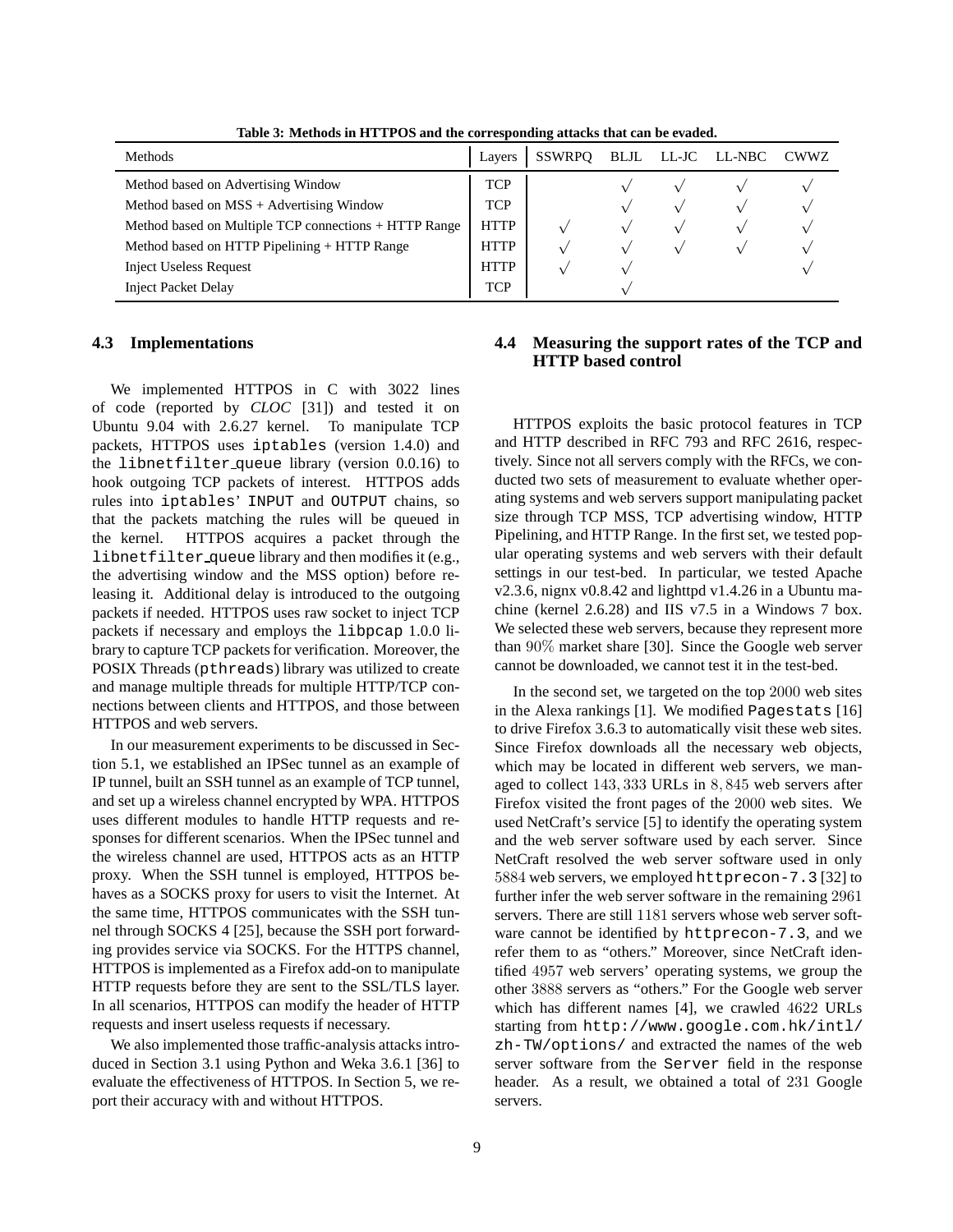| <b>Methods</b>                                        |             | SSWRPO |            | BLJL LL-JC LL-NBC | CWWZ |
|-------------------------------------------------------|-------------|--------|------------|-------------------|------|
| Method based on Advertising Window                    | <b>TCP</b>  |        |            |                   |      |
| Method based on MSS + Advertising Window              | <b>TCP</b>  |        | $\sqrt{}$  |                   |      |
| Method based on Multiple TCP connections + HTTP Range | <b>HTTP</b> |        |            |                   |      |
| Method based on HTTP Pipelining + HTTP Range          | <b>HTTP</b> |        | $\sqrt{ }$ |                   |      |
| <b>Inject Useless Request</b>                         | <b>HTTP</b> |        |            |                   |      |
| <b>Inject Packet Delay</b>                            | <b>TCP</b>  |        |            |                   |      |

**Table 3: Methods in HTTPOS and the corresponding attacks that can be evaded.**

# **4.3 Implementations**

We implemented HTTPOS in C with 3022 lines of code (reported by *CLOC* [31]) and tested it on Ubuntu 9.04 with 2.6.27 kernel. To manipulate TCP packets, HTTPOS uses iptables (version 1.4.0) and the libnetfilter queue library (version 0.0.16) to hook outgoing TCP packets of interest. HTTPOS adds rules into iptables' INPUT and OUTPUT chains, so that the packets matching the rules will be queued in the kernel. HTTPOS acquires a packet through the libnetfilter queue library and then modifies it (e.g., the advertising window and the MSS option) before releasing it. Additional delay is introduced to the outgoing packets if needed. HTTPOS uses raw socket to inject TCP packets if necessary and employs the libpcap 1.0.0 library to capture TCP packets for verification. Moreover, the POSIX Threads (pthreads) library was utilized to create and manage multiple threads for multiple HTTP/TCP connections between clients and HTTPOS, and those between HTTPOS and web servers.

In our measurement experiments to be discussed in Section 5.1, we established an IPSec tunnel as an example of IP tunnel, built an SSH tunnel as an example of TCP tunnel, and set up a wireless channel encrypted by WPA. HTTPOS uses different modules to handle HTTP requests and responses for different scenarios. When the IPSec tunnel and the wireless channel are used, HTTPOS acts as an HTTP proxy. When the SSH tunnel is employed, HTTPOS behaves as a SOCKS proxy for users to visit the Internet. At the same time, HTTPOS communicates with the SSH tunnel through SOCKS 4 [25], because the SSH port forwarding provides service via SOCKS. For the HTTPS channel, HTTPOS is implemented as a Firefox add-on to manipulate HTTP requests before they are sent to the SSL/TLS layer. In all scenarios, HTTPOS can modify the header of HTTP requests and insert useless requests if necessary.

We also implemented those traffic-analysis attacks introduced in Section 3.1 using Python and Weka 3.6.1 [36] to evaluate the effectiveness of HTTPOS. In Section 5, we report their accuracy with and without HTTPOS.

# **4.4 Measuring the support rates of the TCP and HTTP based control**

HTTPOS exploits the basic protocol features in TCP and HTTP described in RFC 793 and RFC 2616, respectively. Since not all servers comply with the RFCs, we conducted two sets of measurement to evaluate whether operating systems and web servers support manipulating packet size through TCP MSS, TCP advertising window, HTTP Pipelining, and HTTP Range. In the first set, we tested popular operating systems and web servers with their default settings in our test-bed. In particular, we tested Apache v2.3.6, nignx v0.8.42 and lighttpd v1.4.26 in a Ubuntu machine (kernel 2.6.28) and IIS v7.5 in a Windows 7 box. We selected these web servers, because they represent more than 90% market share [30]. Since the Google web server cannot be downloaded, we cannot test it in the test-bed.

In the second set, we targeted on the top 2000 web sites in the Alexa rankings [1]. We modified Pagestats [16] to drive Firefox 3.6.3 to automatically visit these web sites. Since Firefox downloads all the necessary web objects, which may be located in different web servers, we managed to collect 143, 333 URLs in 8, 845 web servers after Firefox visited the front pages of the 2000 web sites. We used NetCraft's service [5] to identify the operating system and the web server software used by each server. Since NetCraft resolved the web server software used in only 5884 web servers, we employed httprecon-7.3 [32] to further infer the web server software in the remaining 2961 servers. There are still 1181 servers whose web server software cannot be identified by httprecon-7.3, and we refer them to as "others." Moreover, since NetCraft identified 4957 web servers' operating systems, we group the other 3888 servers as "others." For the Google web server which has different names [4], we crawled 4622 URLs starting from http://www.google.com.hk/intl/ zh-TW/options/ and extracted the names of the web server software from the Server field in the response header. As a result, we obtained a total of 231 Google servers.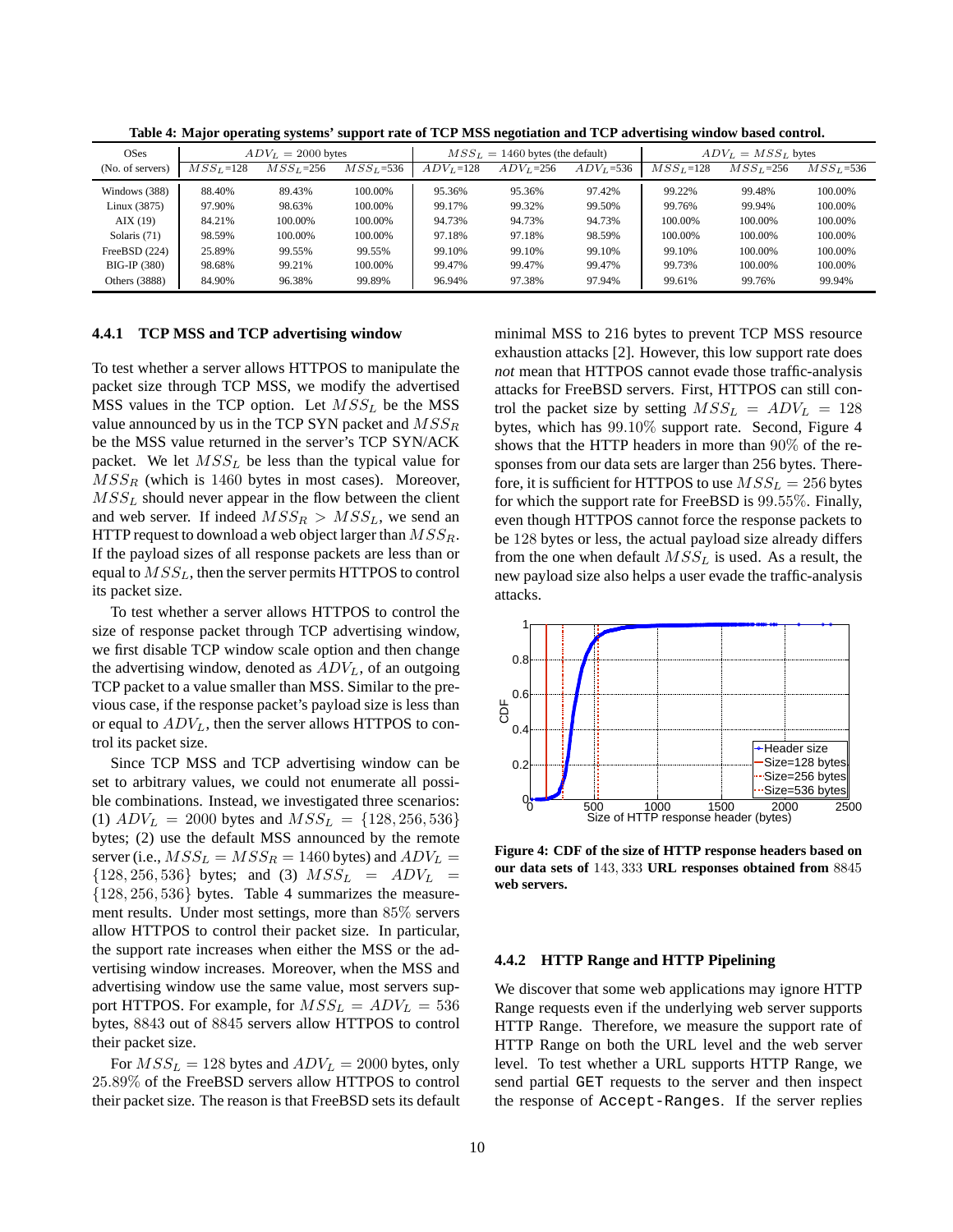| OSes              | $ADV_L = 2000$ bytes |              | $MSS_L = 1460$ bytes (the default) |              |             | $ADV_L = MSS_L$ bytes |            |             |               |
|-------------------|----------------------|--------------|------------------------------------|--------------|-------------|-----------------------|------------|-------------|---------------|
| (No. of servers)  | $MSS_L = 128$        | $MSS_L$ =256 | $MSS_L = 536$                      | $ADV_L$ =128 | $ADV_L=256$ | $ADV_L = 536$         | $MSSL=128$ | $MSS_L=256$ | $MSS_L = 536$ |
| Windows (388)     | 88.40%               | 89.43%       | 100.00%                            | 95.36%       | 95.36%      | 97.42%                | 99.22%     | 99.48%      | 100.00%       |
| Linux (3875)      | 97.90%               | 98.63%       | 100.00%                            | 99.17%       | 99.32%      | 99.50%                | 99.76%     | 99.94%      | 100.00%       |
| $\text{AIX}$ (19) | 84.21%               | 100.00%      | 100.00%                            | 94.73%       | 94.73%      | 94.73%                | 100.00%    | 100.00%     | 100.00%       |
| Solaris (71)      | 98.59%               | 100.00%      | 100.00%                            | 97.18%       | 97.18%      | 98.59%                | 100.00%    | 100.00%     | 100.00%       |
| FreeBSD $(224)$   | 25.89%               | 99.55%       | 99.55%                             | 99.10%       | 99.10%      | 99.10%                | 99.10%     | 100.00%     | 100.00%       |
| BIG-IP (380)      | 98.68%               | 99.21%       | 100.00%                            | 99.47%       | 99.47%      | 99.47%                | 99.73%     | 100.00%     | 100.00%       |
| Others (3888)     | 84.90%               | 96.38%       | 99.89%                             | 96.94%       | 97.38%      | 97.94%                | 99.61%     | 99.76%      | 99.94%        |

**Table 4: Major operating systems' support rate of TCP MSS negotiation and TCP advertising window based control.**

#### **4.4.1 TCP MSS and TCP advertising window**

To test whether a server allows HTTPOS to manipulate the packet size through TCP MSS, we modify the advertised MSS values in the TCP option. Let  $MSS<sub>L</sub>$  be the MSS value announced by us in the TCP SYN packet and  $MSS_R$ be the MSS value returned in the server's TCP SYN/ACK packet. We let  $MSS<sub>L</sub>$  be less than the typical value for  $MSS<sub>R</sub>$  (which is 1460 bytes in most cases). Moreover,  $MSS_L$  should never appear in the flow between the client and web server. If indeed  $MSS_R > MSS_L$ , we send an HTTP request to download a web object larger than  $MSS_R$ . If the payload sizes of all response packets are less than or equal to  $MSS<sub>L</sub>$ , then the server permits HTTPOS to control its packet size.

To test whether a server allows HTTPOS to control the size of response packet through TCP advertising window, we first disable TCP window scale option and then change the advertising window, denoted as  $ADV<sub>L</sub>$ , of an outgoing TCP packet to a value smaller than MSS. Similar to the previous case, if the response packet's payload size is less than or equal to  $ADV_L$ , then the server allows HTTPOS to control its packet size.

Since TCP MSS and TCP advertising window can be set to arbitrary values, we could not enumerate all possible combinations. Instead, we investigated three scenarios: (1)  $ADV_L = 2000$  bytes and  $MSS_L = \{128, 256, 536\}$ bytes; (2) use the default MSS announced by the remote server (i.e.,  $MSS_L = MSS_R = 1460$  bytes) and  $ADV_L =$  ${128, 256, 536}$  bytes; and (3)  $MSS_L = ADV_L =$  ${128, 256, 536}$  bytes. Table 4 summarizes the measurement results. Under most settings, more than 85% servers allow HTTPOS to control their packet size. In particular, the support rate increases when either the MSS or the advertising window increases. Moreover, when the MSS and advertising window use the same value, most servers support HTTPOS. For example, for  $MSS_L = ADV_L = 536$ bytes, 8843 out of 8845 servers allow HTTPOS to control their packet size.

For  $MSS_L = 128$  bytes and  $ADV_L = 2000$  bytes, only 25.89% of the FreeBSD servers allow HTTPOS to control their packet size. The reason is that FreeBSD sets its default minimal MSS to 216 bytes to prevent TCP MSS resource exhaustion attacks [2]. However, this low support rate does *not* mean that HTTPOS cannot evade those traffic-analysis attacks for FreeBSD servers. First, HTTPOS can still control the packet size by setting  $MSS_L = ADV_L = 128$ bytes, which has 99.10% support rate. Second, Figure 4 shows that the HTTP headers in more than 90% of the responses from our data sets are larger than 256 bytes. Therefore, it is sufficient for HTTPOS to use  $MSS_L = 256$  bytes for which the support rate for FreeBSD is 99.55%. Finally, even though HTTPOS cannot force the response packets to be 128 bytes or less, the actual payload size already differs from the one when default  $MSS_L$  is used. As a result, the new payload size also helps a user evade the traffic-analysis attacks.



**Figure 4: CDF of the size of HTTP response headers based on our data sets of** <sup>143</sup>, <sup>333</sup> **URL responses obtained from** <sup>8845</sup> **web servers.**

#### **4.4.2 HTTP Range and HTTP Pipelining**

We discover that some web applications may ignore HTTP Range requests even if the underlying web server supports HTTP Range. Therefore, we measure the support rate of HTTP Range on both the URL level and the web server level. To test whether a URL supports HTTP Range, we send partial GET requests to the server and then inspect the response of Accept-Ranges. If the server replies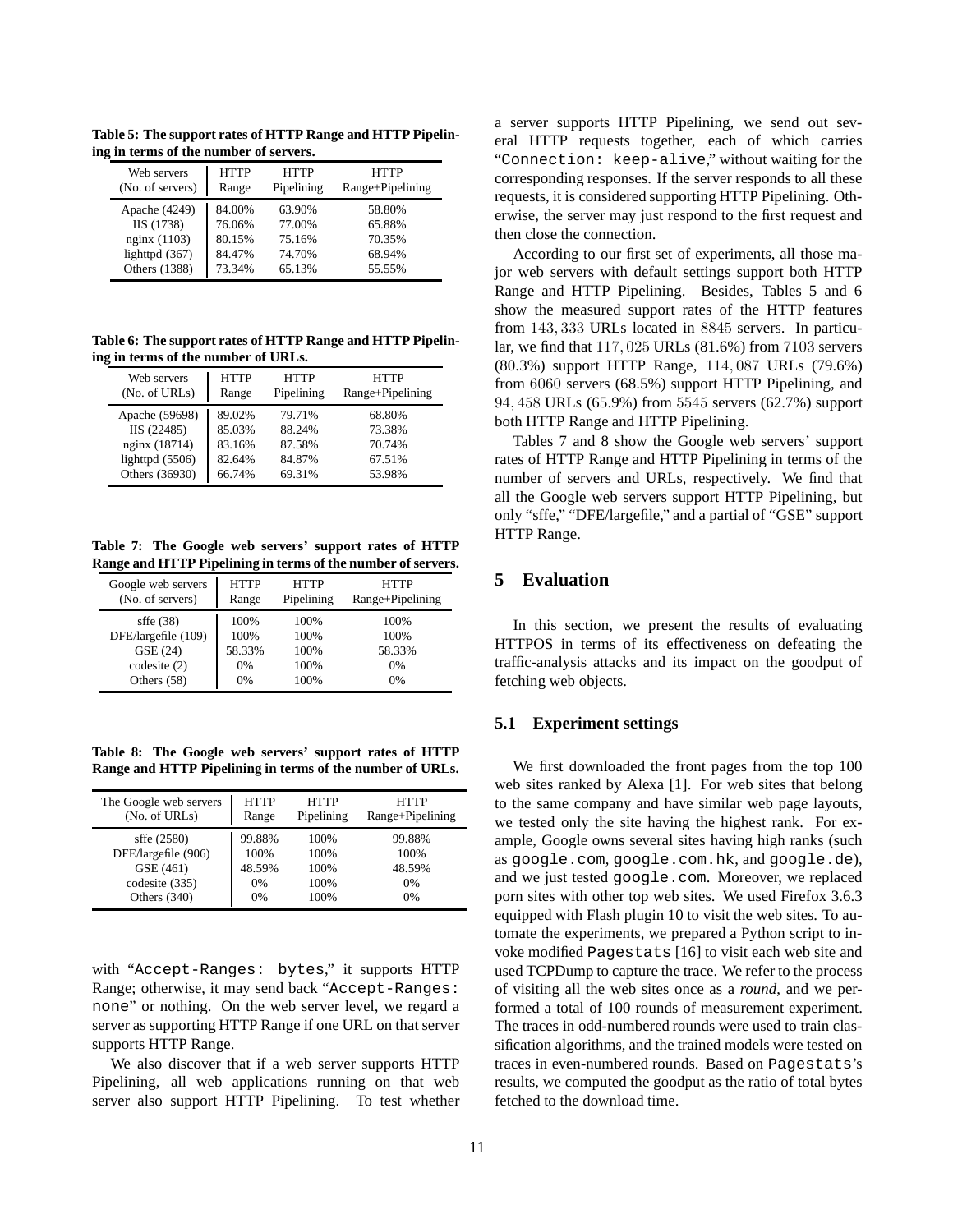**Table 5: The support rates of HTTP Range and HTTP Pipelining in terms of the number of servers.**

| Web servers      | <b>HTTP</b> | <b>HTTP</b> | <b>HTTP</b>      |
|------------------|-------------|-------------|------------------|
| (No. of servers) | Range       | Pipelining  | Range+Pipelining |
| Apache (4249)    | 84.00%      | 63.90%      | 58.80%           |
| IIS (1738)       | 76.06%      | 77.00%      | 65.88%           |
| nginx (1103)     | 80.15%      | 75.16%      | 70.35%           |
| lighttpd $(367)$ | 84.47%      | 74.70%      | 68.94%           |
| Others (1388)    | 73.34%      | 65.13%      | 55.55%           |

**Table 6: The support rates of HTTP Range and HTTP Pipelining in terms of the number of URLs.**

| Web servers<br>(No. of URLs) | <b>HTTP</b><br>Range | <b>HTTP</b><br>Pipelining | HTTP<br>Range+Pipelining |
|------------------------------|----------------------|---------------------------|--------------------------|
| Apache (59698)               | 89.02%               | 79.71%                    | 68.80%                   |
| IIS (22485)                  | 85.03%               | 88.24%                    | 73.38%                   |
| nginx (18714)                | 83.16%               | 87.58%                    | 70.74%                   |
| lighttpd $(5506)$            | 82.64%               | 84.87%                    | 67.51%                   |
| Others (36930)               | 66.74%               | 69.31%                    | 53.98%                   |

**Table 7: The Google web servers' support rates of HTTP Range and HTTP Pipelining in terms of the number of servers.**

| Google web servers  | <b>HTTP</b> | <b>HTTP</b> | <b>HTTP</b>      |
|---------------------|-------------|-------------|------------------|
| (No. of servers)    | Range       | Pipelining  | Range+Pipelining |
| $s$ ffe $(38)$      | 100%        | 100%        | 100%             |
| DFE/largefile (109) | 100%        | 100%        | 100%             |
| GSE (24)            | 58.33%      | 100%        | 58.33%           |
| codesite $(2)$      | 0%          | 100%        | 0%               |
| Others (58)         | 0%          | 100%        | 0%               |

**Table 8: The Google web servers' support rates of HTTP Range and HTTP Pipelining in terms of the number of URLs.**

| The Google web servers<br>(No. of URLs) | <b>HTTP</b><br>Range | <b>HTTP</b><br>Pipelining | <b>HTTP</b><br>Range+Pipelining |
|-----------------------------------------|----------------------|---------------------------|---------------------------------|
| $s$ ffe (2580)<br>DFE/largefile (906)   | 99.88%<br>100%       | 100%<br>100%              | 99.88%<br>100%                  |
| GSE (461)                               | 48.59%               | 100%                      | 48.59%                          |
| codesite (335)                          | $0\%$                | 100%                      | 0%                              |
| Others $(340)$                          | $0\%$                | 100%                      | 0%                              |

with "Accept-Ranges: bytes," it supports HTTP Range; otherwise, it may send back "Accept-Ranges: none" or nothing. On the web server level, we regard a server as supporting HTTP Range if one URL on that server supports HTTP Range.

We also discover that if a web server supports HTTP Pipelining, all web applications running on that web server also support HTTP Pipelining. To test whether

a server supports HTTP Pipelining, we send out several HTTP requests together, each of which carries "Connection: keep-alive," without waiting for the corresponding responses. If the server responds to all these requests, it is considered supporting HTTP Pipelining. Otherwise, the server may just respond to the first request and then close the connection.

According to our first set of experiments, all those major web servers with default settings support both HTTP Range and HTTP Pipelining. Besides, Tables 5 and 6 show the measured support rates of the HTTP features from 143, 333 URLs located in 8845 servers. In particular, we find that 117, 025 URLs (81.6%) from 7103 servers (80.3%) support HTTP Range, 114, 087 URLs (79.6%) from 6060 servers (68.5%) support HTTP Pipelining, and 94, 458 URLs (65.9%) from 5545 servers (62.7%) support both HTTP Range and HTTP Pipelining.

Tables 7 and 8 show the Google web servers' support rates of HTTP Range and HTTP Pipelining in terms of the number of servers and URLs, respectively. We find that all the Google web servers support HTTP Pipelining, but only "sffe," "DFE/largefile," and a partial of "GSE" support HTTP Range.

# **5 Evaluation**

In this section, we present the results of evaluating HTTPOS in terms of its effectiveness on defeating the traffic-analysis attacks and its impact on the goodput of fetching web objects.

# **5.1 Experiment settings**

We first downloaded the front pages from the top 100 web sites ranked by Alexa [1]. For web sites that belong to the same company and have similar web page layouts, we tested only the site having the highest rank. For example, Google owns several sites having high ranks (such as google.com, google.com.hk, and google.de), and we just tested google.com. Moreover, we replaced porn sites with other top web sites. We used Firefox 3.6.3 equipped with Flash plugin 10 to visit the web sites. To automate the experiments, we prepared a Python script to invoke modified Pagestats [16] to visit each web site and used TCPDump to capture the trace. We refer to the process of visiting all the web sites once as a *round*, and we performed a total of 100 rounds of measurement experiment. The traces in odd-numbered rounds were used to train classification algorithms, and the trained models were tested on traces in even-numbered rounds. Based on Pagestats's results, we computed the goodput as the ratio of total bytes fetched to the download time.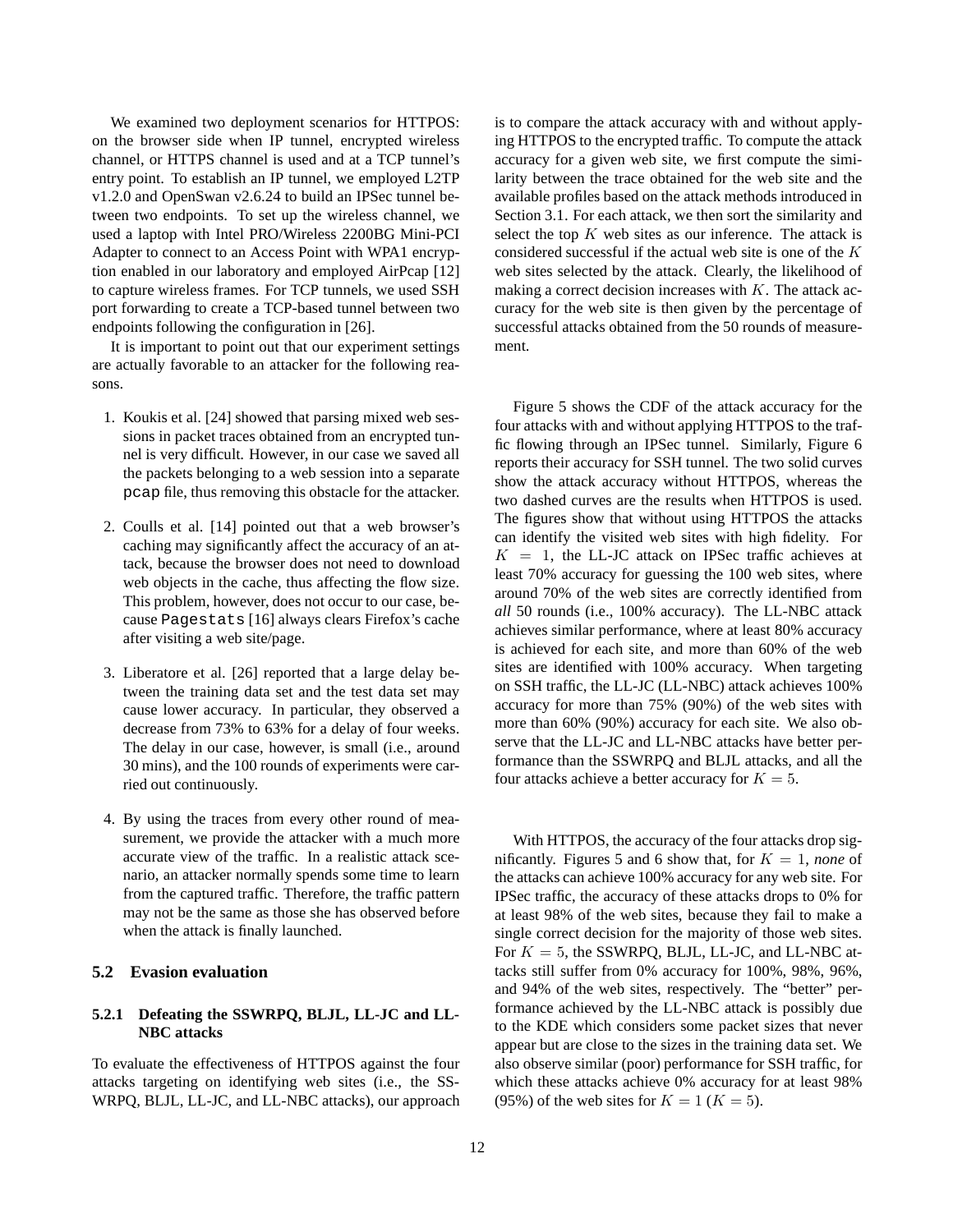We examined two deployment scenarios for HTTPOS: on the browser side when IP tunnel, encrypted wireless channel, or HTTPS channel is used and at a TCP tunnel's entry point. To establish an IP tunnel, we employed L2TP v1.2.0 and OpenSwan v2.6.24 to build an IPSec tunnel between two endpoints. To set up the wireless channel, we used a laptop with Intel PRO/Wireless 2200BG Mini-PCI Adapter to connect to an Access Point with WPA1 encryption enabled in our laboratory and employed AirPcap [12] to capture wireless frames. For TCP tunnels, we used SSH port forwarding to create a TCP-based tunnel between two endpoints following the configuration in [26].

It is important to point out that our experiment settings are actually favorable to an attacker for the following reasons.

- 1. Koukis et al. [24] showed that parsing mixed web sessions in packet traces obtained from an encrypted tunnel is very difficult. However, in our case we saved all the packets belonging to a web session into a separate pcap file, thus removing this obstacle for the attacker.
- 2. Coulls et al. [14] pointed out that a web browser's caching may significantly affect the accuracy of an attack, because the browser does not need to download web objects in the cache, thus affecting the flow size. This problem, however, does not occur to our case, because Pagestats [16] always clears Firefox's cache after visiting a web site/page.
- 3. Liberatore et al. [26] reported that a large delay between the training data set and the test data set may cause lower accuracy. In particular, they observed a decrease from 73% to 63% for a delay of four weeks. The delay in our case, however, is small (i.e., around 30 mins), and the 100 rounds of experiments were carried out continuously.
- 4. By using the traces from every other round of measurement, we provide the attacker with a much more accurate view of the traffic. In a realistic attack scenario, an attacker normally spends some time to learn from the captured traffic. Therefore, the traffic pattern may not be the same as those she has observed before when the attack is finally launched.

### **5.2 Evasion evaluation**

# **5.2.1 Defeating the SSWRPQ, BLJL, LL-JC and LL-NBC attacks**

To evaluate the effectiveness of HTTPOS against the four attacks targeting on identifying web sites (i.e., the SS-WRPQ, BLJL, LL-JC, and LL-NBC attacks), our approach is to compare the attack accuracy with and without applying HTTPOS to the encrypted traffic. To compute the attack accuracy for a given web site, we first compute the similarity between the trace obtained for the web site and the available profiles based on the attack methods introduced in Section 3.1. For each attack, we then sort the similarity and select the top  $K$  web sites as our inference. The attack is considered successful if the actual web site is one of the K web sites selected by the attack. Clearly, the likelihood of making a correct decision increases with  $K$ . The attack accuracy for the web site is then given by the percentage of successful attacks obtained from the 50 rounds of measurement.

Figure 5 shows the CDF of the attack accuracy for the four attacks with and without applying HTTPOS to the traffic flowing through an IPSec tunnel. Similarly, Figure 6 reports their accuracy for SSH tunnel. The two solid curves show the attack accuracy without HTTPOS, whereas the two dashed curves are the results when HTTPOS is used. The figures show that without using HTTPOS the attacks can identify the visited web sites with high fidelity. For  $K = 1$ , the LL-JC attack on IPSec traffic achieves at least 70% accuracy for guessing the 100 web sites, where around 70% of the web sites are correctly identified from *all* 50 rounds (i.e., 100% accuracy). The LL-NBC attack achieves similar performance, where at least 80% accuracy is achieved for each site, and more than 60% of the web sites are identified with 100% accuracy. When targeting on SSH traffic, the LL-JC (LL-NBC) attack achieves 100% accuracy for more than 75% (90%) of the web sites with more than 60% (90%) accuracy for each site. We also observe that the LL-JC and LL-NBC attacks have better performance than the SSWRPQ and BLJL attacks, and all the four attacks achieve a better accuracy for  $K = 5$ .

With HTTPOS, the accuracy of the four attacks drop significantly. Figures 5 and 6 show that, for  $K = 1$ , *none* of the attacks can achieve 100% accuracy for any web site. For IPSec traffic, the accuracy of these attacks drops to 0% for at least 98% of the web sites, because they fail to make a single correct decision for the majority of those web sites. For  $K = 5$ , the SSWRPO, BLJL, LL-JC, and LL-NBC attacks still suffer from 0% accuracy for 100%, 98%, 96%, and 94% of the web sites, respectively. The "better" performance achieved by the LL-NBC attack is possibly due to the KDE which considers some packet sizes that never appear but are close to the sizes in the training data set. We also observe similar (poor) performance for SSH traffic, for which these attacks achieve 0% accuracy for at least 98% (95%) of the web sites for  $K = 1$  ( $K = 5$ ).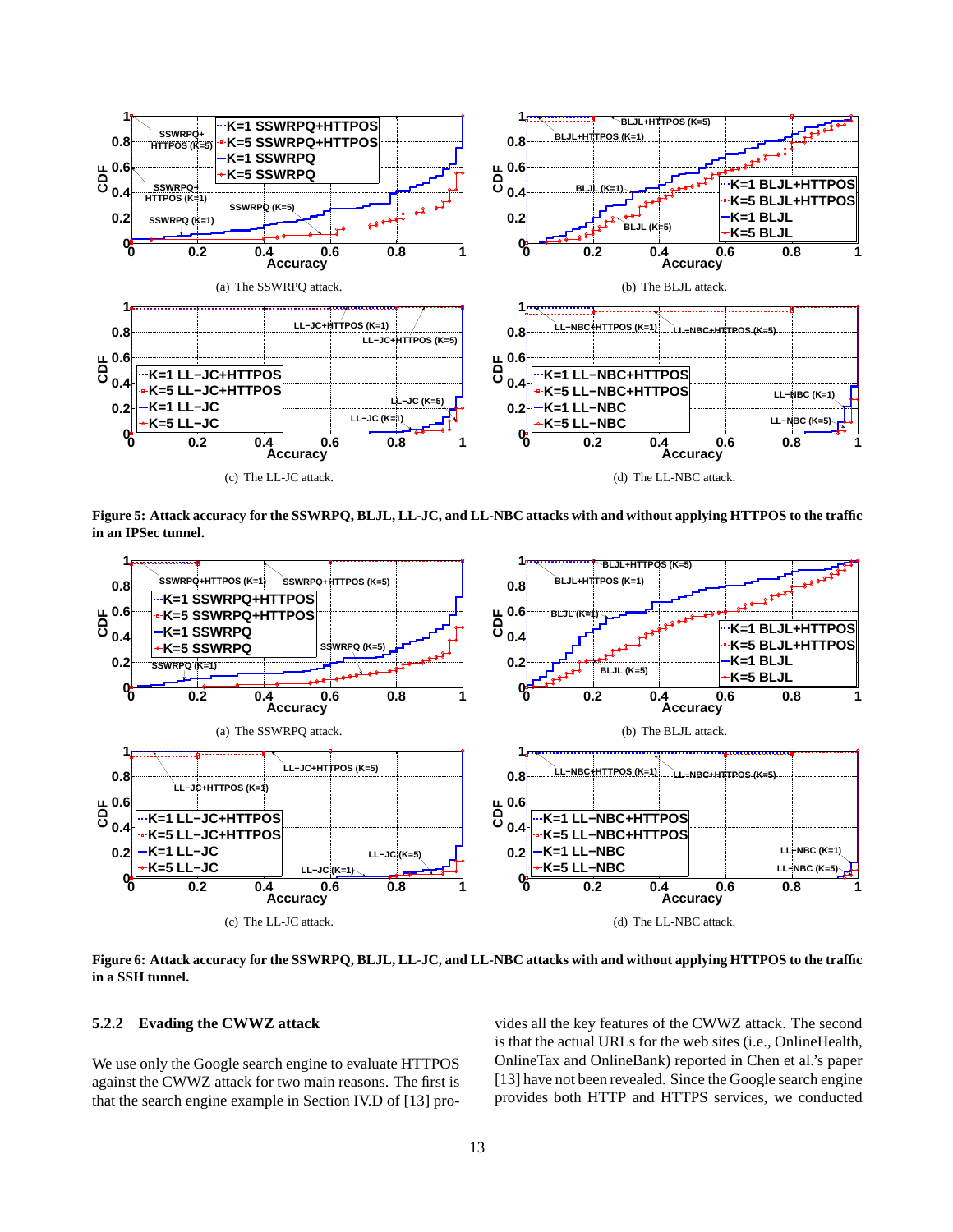

**Figure 5: Attack accuracy for the SSWRPQ, BLJL, LL-JC, and LL-NBC attacks with and without applying HTTPOS to the traffic in an IPSec tunnel.**



**Figure 6: Attack accuracy for the SSWRPQ, BLJL, LL-JC, and LL-NBC attacks with and without applying HTTPOS to the traffic in a SSH tunnel.**

#### **5.2.2 Evading the CWWZ attack**

We use only the Google search engine to evaluate HTTPOS against the CWWZ attack for two main reasons. The first is that the search engine example in Section IV.D of [13] provides all the key features of the CWWZ attack. The second is that the actual URLs for the web sites (i.e., OnlineHealth, OnlineTax and OnlineBank) reported in Chen et al.'s paper [13] have not been revealed. Since the Google search engine provides both HTTP and HTTPS services, we conducted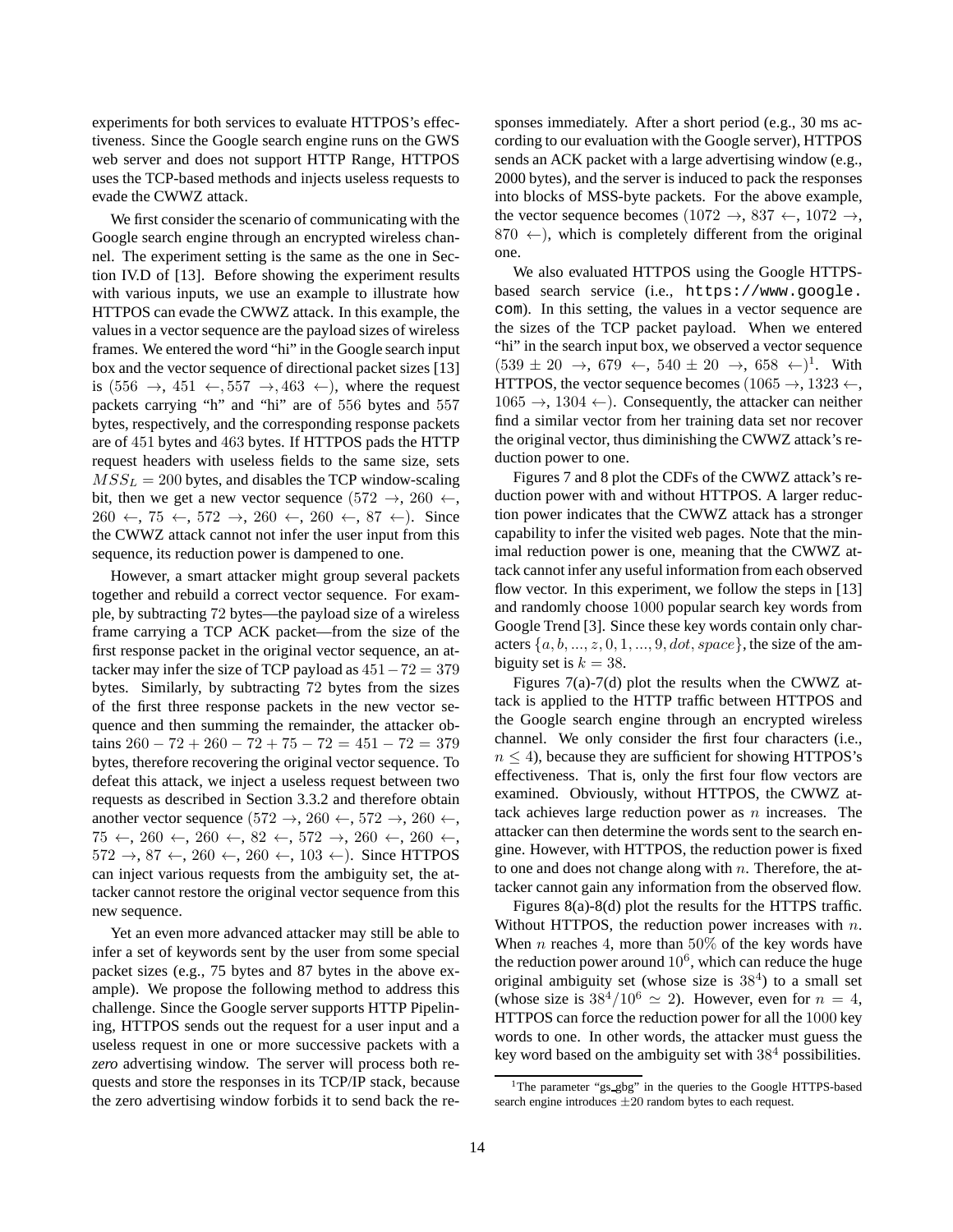experiments for both services to evaluate HTTPOS's effectiveness. Since the Google search engine runs on the GWS web server and does not support HTTP Range, HTTPOS uses the TCP-based methods and injects useless requests to evade the CWWZ attack.

We first consider the scenario of communicating with the Google search engine through an encrypted wireless channel. The experiment setting is the same as the one in Section IV.D of [13]. Before showing the experiment results with various inputs, we use an example to illustrate how HTTPOS can evade the CWWZ attack. In this example, the values in a vector sequence are the payload sizes of wireless frames. We entered the word "hi" in the Google search input box and the vector sequence of directional packet sizes [13] is  $(556 \rightarrow, 451 \leftarrow, 557 \rightarrow, 463 \leftarrow)$ , where the request packets carrying "h" and "hi" are of 556 bytes and 557 bytes, respectively, and the corresponding response packets are of 451 bytes and 463 bytes. If HTTPOS pads the HTTP request headers with useless fields to the same size, sets  $MSS_L = 200$  bytes, and disables the TCP window-scaling bit, then we get a new vector sequence  $(572 \rightarrow, 260 \leftarrow,$  $260 \leftarrow$ ,  $75 \leftarrow$ ,  $572 \rightarrow$ ,  $260 \leftarrow$ ,  $260 \leftarrow$ ,  $87 \leftarrow$ ). Since the CWWZ attack cannot not infer the user input from this sequence, its reduction power is dampened to one.

However, a smart attacker might group several packets together and rebuild a correct vector sequence. For example, by subtracting 72 bytes—the payload size of a wireless frame carrying a TCP ACK packet—from the size of the first response packet in the original vector sequence, an attacker may infer the size of TCP payload as  $451-72 = 379$ bytes. Similarly, by subtracting 72 bytes from the sizes of the first three response packets in the new vector sequence and then summing the remainder, the attacker obtains  $260 - 72 + 260 - 72 + 75 - 72 = 451 - 72 = 379$ bytes, therefore recovering the original vector sequence. To defeat this attack, we inject a useless request between two requests as described in Section 3.3.2 and therefore obtain another vector sequence (572 →, 260 ←, 572 →, 260 ←,  $75 \leftarrow, 260 \leftarrow, 260 \leftarrow, 82 \leftarrow, 572 \rightarrow, 260 \leftarrow, 260 \leftarrow$  $572 \rightarrow 87 \leftarrow 260 \leftarrow 260 \leftarrow 103 \leftarrow$ ). Since HTTPOS can inject various requests from the ambiguity set, the attacker cannot restore the original vector sequence from this new sequence.

Yet an even more advanced attacker may still be able to infer a set of keywords sent by the user from some special packet sizes (e.g., 75 bytes and 87 bytes in the above example). We propose the following method to address this challenge. Since the Google server supports HTTP Pipelining, HTTPOS sends out the request for a user input and a useless request in one or more successive packets with a *zero* advertising window. The server will process both requests and store the responses in its TCP/IP stack, because the zero advertising window forbids it to send back the re-

sponses immediately. After a short period (e.g., 30 ms according to our evaluation with the Google server), HTTPOS sends an ACK packet with a large advertising window (e.g., 2000 bytes), and the server is induced to pack the responses into blocks of MSS-byte packets. For the above example, the vector sequence becomes  $(1072 \rightarrow, 837 \leftarrow, 1072 \rightarrow,$  $870 \leftarrow$ ), which is completely different from the original one.

We also evaluated HTTPOS using the Google HTTPSbased search service (i.e., https://www.google. com). In this setting, the values in a vector sequence are the sizes of the TCP packet payload. When we entered "hi" in the search input box, we observed a vector sequence  $(539 \pm 20 \rightarrow, 679 \leftarrow, 540 \pm 20 \rightarrow, 658 \leftarrow)^1$ . With HTTPOS, the vector sequence becomes  $(1065 \rightarrow 1323 \leftarrow$ ,  $1065 \rightarrow 1304 \leftarrow$ ). Consequently, the attacker can neither find a similar vector from her training data set nor recover the original vector, thus diminishing the CWWZ attack's reduction power to one.

Figures 7 and 8 plot the CDFs of the CWWZ attack's reduction power with and without HTTPOS. A larger reduction power indicates that the CWWZ attack has a stronger capability to infer the visited web pages. Note that the minimal reduction power is one, meaning that the CWWZ attack cannot infer any useful information from each observed flow vector. In this experiment, we follow the steps in [13] and randomly choose 1000 popular search key words from Google Trend [3]. Since these key words contain only characters  $\{a, b, ..., z, 0, 1, ..., 9, dot, space\}$ , the size of the ambiguity set is  $k = 38$ .

Figures 7(a)-7(d) plot the results when the CWWZ attack is applied to the HTTP traffic between HTTPOS and the Google search engine through an encrypted wireless channel. We only consider the first four characters (i.e.,  $n \leq 4$ ), because they are sufficient for showing HTTPOS's effectiveness. That is, only the first four flow vectors are examined. Obviously, without HTTPOS, the CWWZ attack achieves large reduction power as  $n$  increases. The attacker can then determine the words sent to the search engine. However, with HTTPOS, the reduction power is fixed to one and does not change along with  $n$ . Therefore, the attacker cannot gain any information from the observed flow.

Figures 8(a)-8(d) plot the results for the HTTPS traffic. Without HTTPOS, the reduction power increases with  $n$ . When *n* reaches 4, more than 50% of the key words have the reduction power around  $10^6$ , which can reduce the huge original ambiguity set (whose size is  $38<sup>4</sup>$ ) to a small set (whose size is  $38^4/10^6 \simeq 2$ ). However, even for  $n = 4$ , HTTPOS can force the reduction power for all the 1000 key words to one. In other words, the attacker must guess the key word based on the ambiguity set with  $38<sup>4</sup>$  possibilities.

<sup>&</sup>lt;sup>1</sup>The parameter "gs\_gbg" in the queries to the Google HTTPS-based search engine introduces  $\pm 20$  random bytes to each request.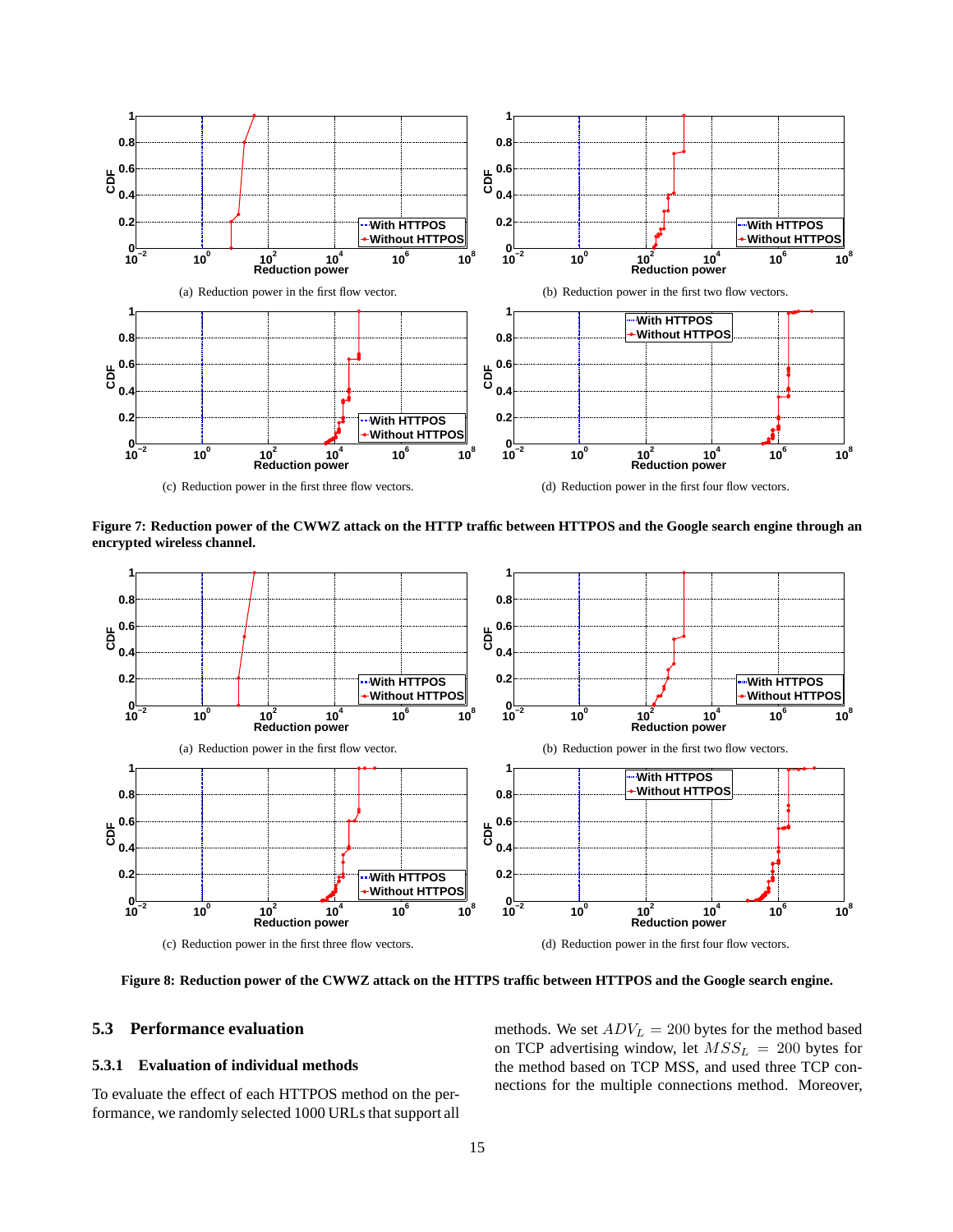

**Figure 7: Reduction power of the CWWZ attack on the HTTP traffic between HTTPOS and the Google search engine through an encrypted wireless channel.**



**Figure 8: Reduction power of the CWWZ attack on the HTTPS traffic between HTTPOS and the Google search engine.**

# **5.3 Performance evaluation**

# **5.3.1 Evaluation of individual methods**

To evaluate the effect of each HTTPOS method on the performance, we randomly selected 1000 URLs that support all methods. We set  $ADV_L = 200$  bytes for the method based on TCP advertising window, let  $MSS_L = 200$  bytes for the method based on TCP MSS, and used three TCP connections for the multiple connections method. Moreover,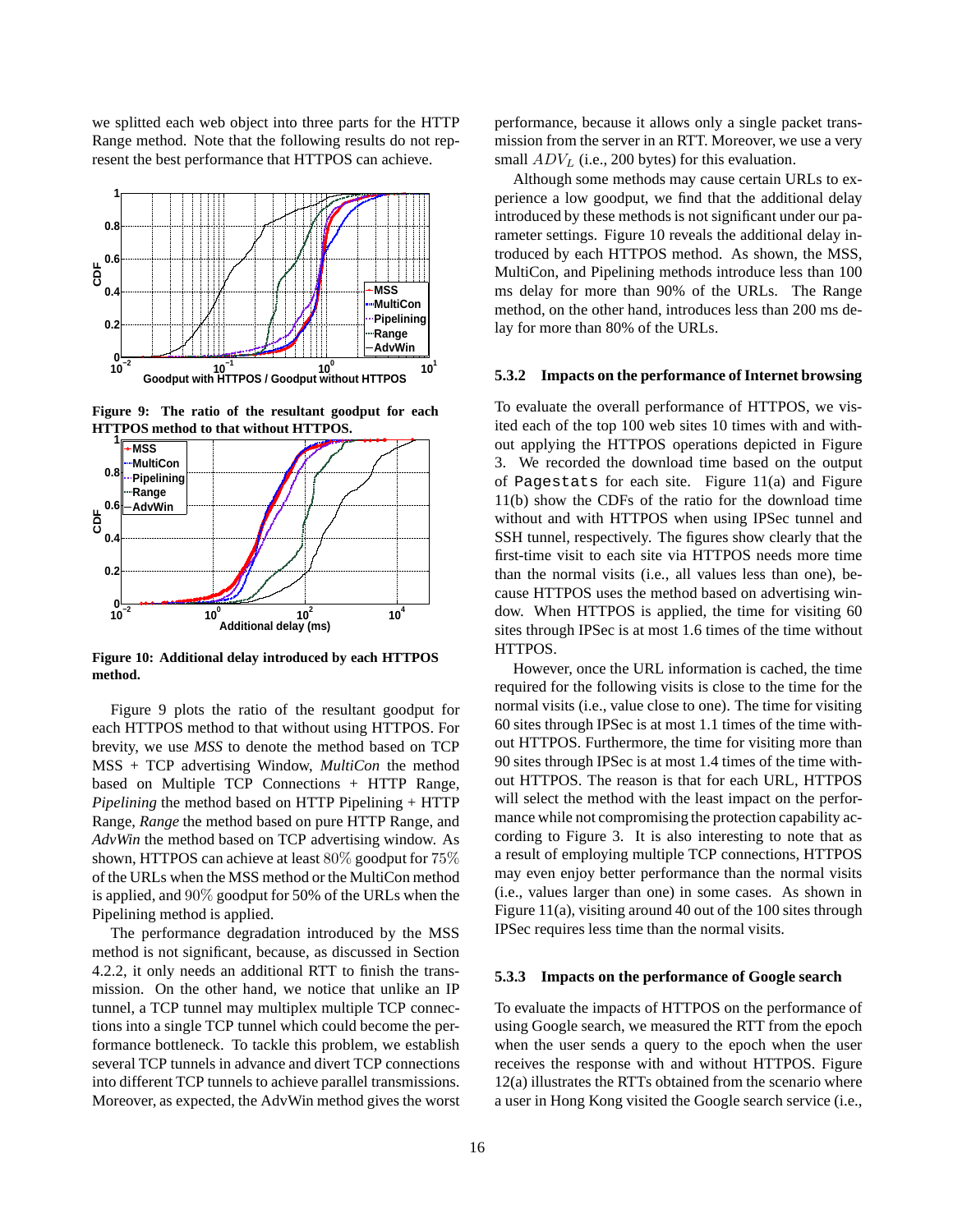we splitted each web object into three parts for the HTTP Range method. Note that the following results do not represent the best performance that HTTPOS can achieve.



**Figure 9: The ratio of the resultant goodput for each HTTPOS method to that without HTTPOS.**



**Figure 10: Additional delay introduced by each HTTPOS method.**

Figure 9 plots the ratio of the resultant goodput for each HTTPOS method to that without using HTTPOS. For brevity, we use *MSS* to denote the method based on TCP MSS + TCP advertising Window, *MultiCon* the method based on Multiple TCP Connections + HTTP Range, *Pipelining* the method based on HTTP Pipelining + HTTP Range, *Range* the method based on pure HTTP Range, and *AdvWin* the method based on TCP advertising window. As shown, HTTPOS can achieve at least 80% goodput for 75% of the URLs when the MSS method or the MultiCon method is applied, and 90% goodput for 50% of the URLs when the Pipelining method is applied.

The performance degradation introduced by the MSS method is not significant, because, as discussed in Section 4.2.2, it only needs an additional RTT to finish the transmission. On the other hand, we notice that unlike an IP tunnel, a TCP tunnel may multiplex multiple TCP connections into a single TCP tunnel which could become the performance bottleneck. To tackle this problem, we establish several TCP tunnels in advance and divert TCP connections into different TCP tunnels to achieve parallel transmissions. Moreover, as expected, the AdvWin method gives the worst

performance, because it allows only a single packet transmission from the server in an RTT. Moreover, we use a very small  $ADV_L$  (i.e., 200 bytes) for this evaluation.

Although some methods may cause certain URLs to experience a low goodput, we find that the additional delay introduced by these methods is not significant under our parameter settings. Figure 10 reveals the additional delay introduced by each HTTPOS method. As shown, the MSS, MultiCon, and Pipelining methods introduce less than 100 ms delay for more than 90% of the URLs. The Range method, on the other hand, introduces less than 200 ms delay for more than 80% of the URLs.

#### **5.3.2 Impacts on the performance of Internet browsing**

To evaluate the overall performance of HTTPOS, we visited each of the top 100 web sites 10 times with and without applying the HTTPOS operations depicted in Figure 3. We recorded the download time based on the output of Pagestats for each site. Figure 11(a) and Figure 11(b) show the CDFs of the ratio for the download time without and with HTTPOS when using IPSec tunnel and SSH tunnel, respectively. The figures show clearly that the first-time visit to each site via HTTPOS needs more time than the normal visits (i.e., all values less than one), because HTTPOS uses the method based on advertising window. When HTTPOS is applied, the time for visiting 60 sites through IPSec is at most 1.6 times of the time without HTTPOS.

However, once the URL information is cached, the time required for the following visits is close to the time for the normal visits (i.e., value close to one). The time for visiting 60 sites through IPSec is at most 1.1 times of the time without HTTPOS. Furthermore, the time for visiting more than 90 sites through IPSec is at most 1.4 times of the time without HTTPOS. The reason is that for each URL, HTTPOS will select the method with the least impact on the performance while not compromising the protection capability according to Figure 3. It is also interesting to note that as a result of employing multiple TCP connections, HTTPOS may even enjoy better performance than the normal visits (i.e., values larger than one) in some cases. As shown in Figure 11(a), visiting around 40 out of the 100 sites through IPSec requires less time than the normal visits.

#### **5.3.3 Impacts on the performance of Google search**

To evaluate the impacts of HTTPOS on the performance of using Google search, we measured the RTT from the epoch when the user sends a query to the epoch when the user receives the response with and without HTTPOS. Figure 12(a) illustrates the RTTs obtained from the scenario where a user in Hong Kong visited the Google search service (i.e.,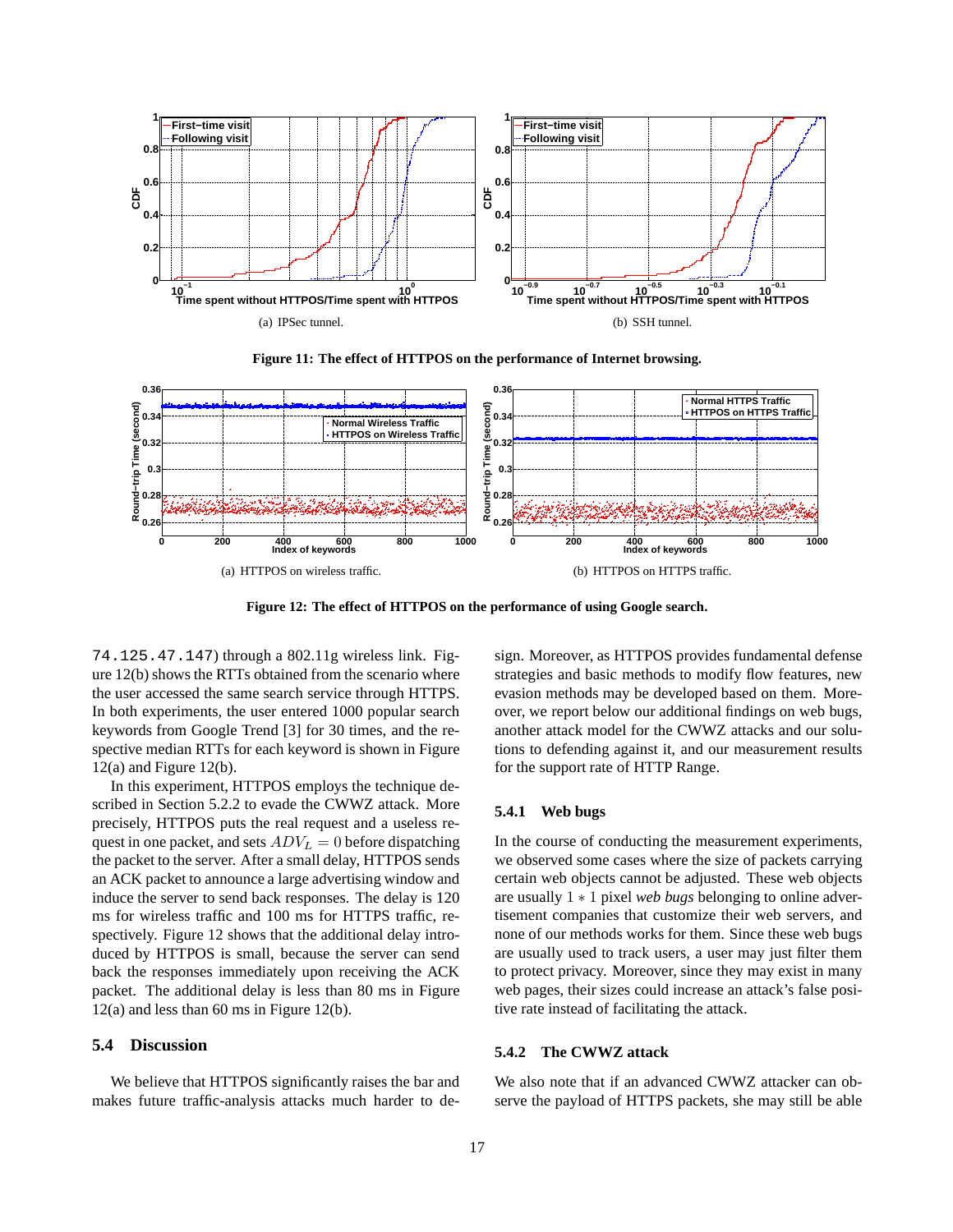

**Figure 11: The effect of HTTPOS on the performance of Internet browsing.**



**Figure 12: The effect of HTTPOS on the performance of using Google search.**

74.125.47.147) through a 802.11g wireless link. Figure 12(b) shows the RTTs obtained from the scenario where the user accessed the same search service through HTTPS. In both experiments, the user entered 1000 popular search keywords from Google Trend [3] for 30 times, and the respective median RTTs for each keyword is shown in Figure  $12(a)$  and Figure  $12(b)$ .

In this experiment, HTTPOS employs the technique described in Section 5.2.2 to evade the CWWZ attack. More precisely, HTTPOS puts the real request and a useless request in one packet, and sets  $ADV_L = 0$  before dispatching the packet to the server. After a small delay, HTTPOS sends an ACK packet to announce a large advertising window and induce the server to send back responses. The delay is 120 ms for wireless traffic and 100 ms for HTTPS traffic, respectively. Figure 12 shows that the additional delay introduced by HTTPOS is small, because the server can send back the responses immediately upon receiving the ACK packet. The additional delay is less than 80 ms in Figure 12(a) and less than 60 ms in Figure 12(b).

# **5.4 Discussion**

We believe that HTTPOS significantly raises the bar and makes future traffic-analysis attacks much harder to de-

sign. Moreover, as HTTPOS provides fundamental defense strategies and basic methods to modify flow features, new evasion methods may be developed based on them. Moreover, we report below our additional findings on web bugs, another attack model for the CWWZ attacks and our solutions to defending against it, and our measurement results for the support rate of HTTP Range.

#### **5.4.1 Web bugs**

In the course of conducting the measurement experiments, we observed some cases where the size of packets carrying certain web objects cannot be adjusted. These web objects are usually 1 ∗ 1 pixel *web bugs* belonging to online advertisement companies that customize their web servers, and none of our methods works for them. Since these web bugs are usually used to track users, a user may just filter them to protect privacy. Moreover, since they may exist in many web pages, their sizes could increase an attack's false positive rate instead of facilitating the attack.

# **5.4.2 The CWWZ attack**

We also note that if an advanced CWWZ attacker can observe the payload of HTTPS packets, she may still be able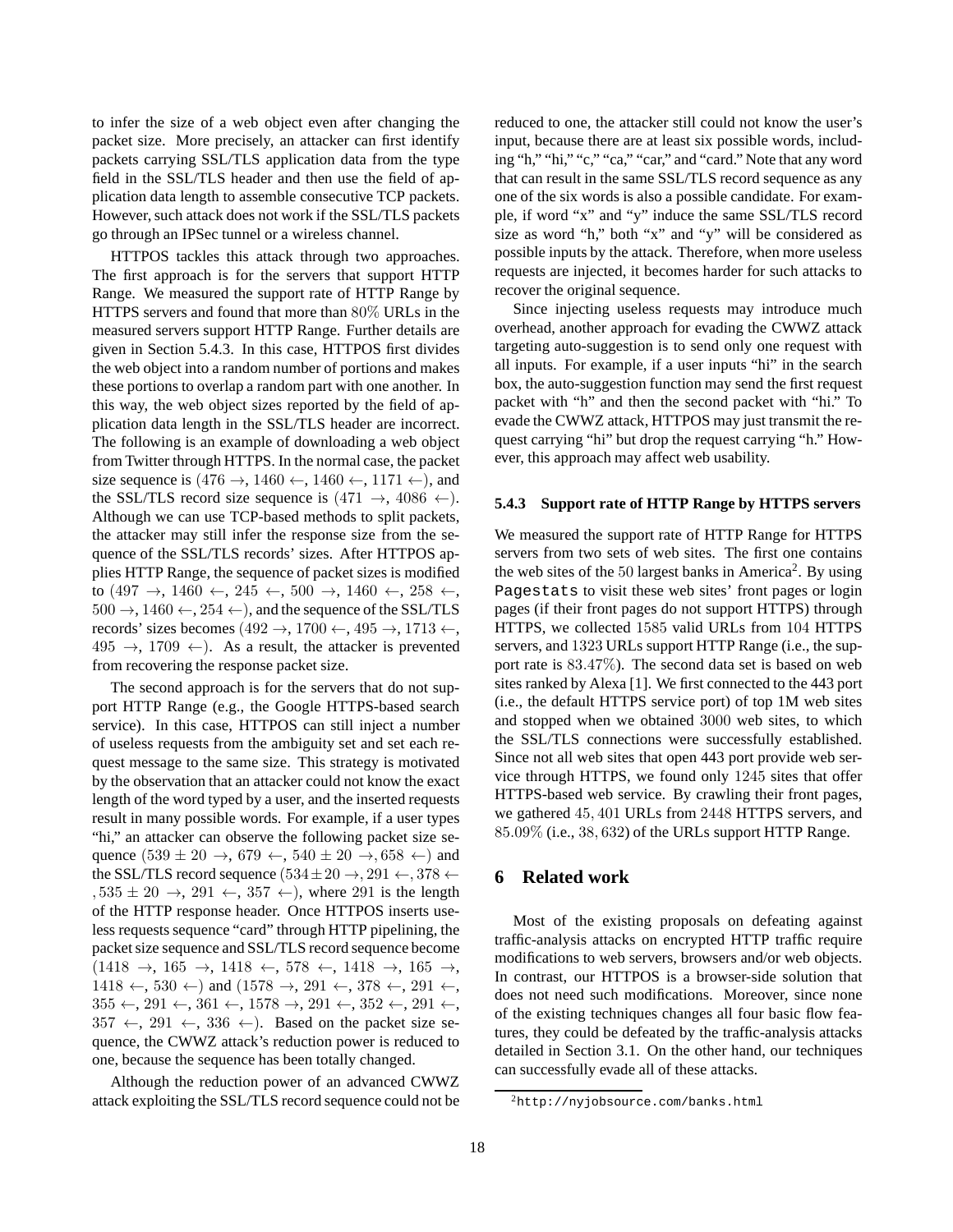to infer the size of a web object even after changing the packet size. More precisely, an attacker can first identify packets carrying SSL/TLS application data from the type field in the SSL/TLS header and then use the field of application data length to assemble consecutive TCP packets. However, such attack does not work if the SSL/TLS packets go through an IPSec tunnel or a wireless channel.

HTTPOS tackles this attack through two approaches. The first approach is for the servers that support HTTP Range. We measured the support rate of HTTP Range by HTTPS servers and found that more than 80% URLs in the measured servers support HTTP Range. Further details are given in Section 5.4.3. In this case, HTTPOS first divides the web object into a random number of portions and makes these portions to overlap a random part with one another. In this way, the web object sizes reported by the field of application data length in the SSL/TLS header are incorrect. The following is an example of downloading a web object from Twitter through HTTPS. In the normal case, the packet size sequence is  $(476 \rightarrow, 1460 \leftarrow, 1460 \leftarrow, 1171 \leftarrow)$ , and the SSL/TLS record size sequence is  $(471 \rightarrow, 4086 \leftarrow)$ . Although we can use TCP-based methods to split packets, the attacker may still infer the response size from the sequence of the SSL/TLS records' sizes. After HTTPOS applies HTTP Range, the sequence of packet sizes is modified to  $(497 \rightarrow, 1460 \leftarrow, 245 \leftarrow, 500 \rightarrow, 1460 \leftarrow, 258 \leftarrow,$  $500 \rightarrow 1460 \leftarrow 254 \leftarrow$ , and the sequence of the SSL/TLS records' sizes becomes (492 →, 1700 ←, 495 →, 1713 ←,  $495 \rightarrow 1709 \leftarrow$ ). As a result, the attacker is prevented from recovering the response packet size.

The second approach is for the servers that do not support HTTP Range (e.g., the Google HTTPS-based search service). In this case, HTTPOS can still inject a number of useless requests from the ambiguity set and set each request message to the same size. This strategy is motivated by the observation that an attacker could not know the exact length of the word typed by a user, and the inserted requests result in many possible words. For example, if a user types "hi," an attacker can observe the following packet size sequence  $(539 \pm 20 \rightarrow, 679 \leftarrow, 540 \pm 20 \rightarrow, 658 \leftarrow)$  and the SSL/TLS record sequence  $(534 \pm 20 \rightarrow, 291 \leftarrow, 378 \leftarrow$  $, 535 \pm 20 \rightarrow, 291 \leftarrow, 357 \leftarrow$ ), where 291 is the length of the HTTP response header. Once HTTPOS inserts useless requests sequence "card" through HTTP pipelining, the packet size sequence and SSL/TLS record sequence become  $(1418 \rightarrow 165 \rightarrow 1418 \leftarrow 578 \leftarrow 1418 \rightarrow 165 \rightarrow$  $1418 \leftarrow, 530 \leftarrow$ ) and  $(1578 \rightarrow, 291 \leftarrow, 378 \leftarrow, 291 \leftarrow,$  $355 \leftarrow, 291 \leftarrow, 361 \leftarrow, 1578 \rightarrow, 291 \leftarrow, 352 \leftarrow, 291 \leftarrow,$  $357 \leftarrow$ ,  $291 \leftarrow$ ,  $336 \leftarrow$ ). Based on the packet size sequence, the CWWZ attack's reduction power is reduced to one, because the sequence has been totally changed.

Although the reduction power of an advanced CWWZ attack exploiting the SSL/TLS record sequence could not be reduced to one, the attacker still could not know the user's input, because there are at least six possible words, including "h," "hi," "c," "ca," "car," and "card." Note that any word that can result in the same SSL/TLS record sequence as any one of the six words is also a possible candidate. For example, if word "x" and "y" induce the same SSL/TLS record size as word "h," both "x" and "y" will be considered as possible inputs by the attack. Therefore, when more useless requests are injected, it becomes harder for such attacks to recover the original sequence.

Since injecting useless requests may introduce much overhead, another approach for evading the CWWZ attack targeting auto-suggestion is to send only one request with all inputs. For example, if a user inputs "hi" in the search box, the auto-suggestion function may send the first request packet with "h" and then the second packet with "hi." To evade the CWWZ attack, HTTPOS may just transmit the request carrying "hi" but drop the request carrying "h." However, this approach may affect web usability.

#### **5.4.3 Support rate of HTTP Range by HTTPS servers**

We measured the support rate of HTTP Range for HTTPS servers from two sets of web sites. The first one contains the web sites of the 50 largest banks in America<sup>2</sup>. By using Pagestats to visit these web sites' front pages or login pages (if their front pages do not support HTTPS) through HTTPS, we collected 1585 valid URLs from 104 HTTPS servers, and 1323 URLs support HTTP Range (i.e., the support rate is 83.47%). The second data set is based on web sites ranked by Alexa [1]. We first connected to the 443 port (i.e., the default HTTPS service port) of top 1M web sites and stopped when we obtained 3000 web sites, to which the SSL/TLS connections were successfully established. Since not all web sites that open 443 port provide web service through HTTPS, we found only 1245 sites that offer HTTPS-based web service. By crawling their front pages, we gathered 45, 401 URLs from 2448 HTTPS servers, and 85.09% (i.e., 38, 632) of the URLs support HTTP Range.

#### **6 Related work**

Most of the existing proposals on defeating against traffic-analysis attacks on encrypted HTTP traffic require modifications to web servers, browsers and/or web objects. In contrast, our HTTPOS is a browser-side solution that does not need such modifications. Moreover, since none of the existing techniques changes all four basic flow features, they could be defeated by the traffic-analysis attacks detailed in Section 3.1. On the other hand, our techniques can successfully evade all of these attacks.

<sup>2</sup>http://nyjobsource.com/banks.html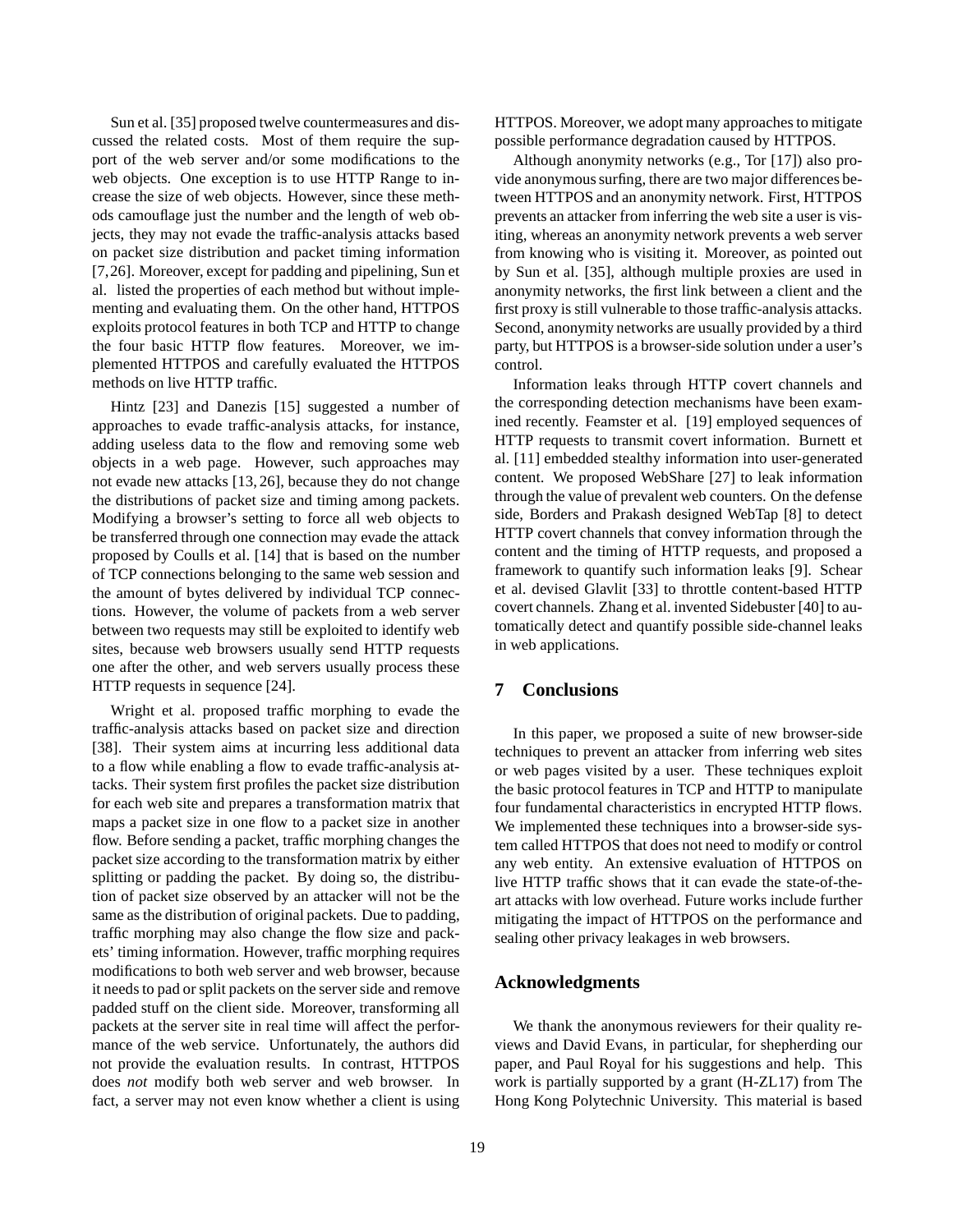Sun et al. [35] proposed twelve countermeasures and discussed the related costs. Most of them require the support of the web server and/or some modifications to the web objects. One exception is to use HTTP Range to increase the size of web objects. However, since these methods camouflage just the number and the length of web objects, they may not evade the traffic-analysis attacks based on packet size distribution and packet timing information [7,26]. Moreover, except for padding and pipelining, Sun et al. listed the properties of each method but without implementing and evaluating them. On the other hand, HTTPOS exploits protocol features in both TCP and HTTP to change the four basic HTTP flow features. Moreover, we implemented HTTPOS and carefully evaluated the HTTPOS methods on live HTTP traffic.

Hintz [23] and Danezis [15] suggested a number of approaches to evade traffic-analysis attacks, for instance, adding useless data to the flow and removing some web objects in a web page. However, such approaches may not evade new attacks [13, 26], because they do not change the distributions of packet size and timing among packets. Modifying a browser's setting to force all web objects to be transferred through one connection may evade the attack proposed by Coulls et al. [14] that is based on the number of TCP connections belonging to the same web session and the amount of bytes delivered by individual TCP connections. However, the volume of packets from a web server between two requests may still be exploited to identify web sites, because web browsers usually send HTTP requests one after the other, and web servers usually process these HTTP requests in sequence [24].

Wright et al. proposed traffic morphing to evade the traffic-analysis attacks based on packet size and direction [38]. Their system aims at incurring less additional data to a flow while enabling a flow to evade traffic-analysis attacks. Their system first profiles the packet size distribution for each web site and prepares a transformation matrix that maps a packet size in one flow to a packet size in another flow. Before sending a packet, traffic morphing changes the packet size according to the transformation matrix by either splitting or padding the packet. By doing so, the distribution of packet size observed by an attacker will not be the same as the distribution of original packets. Due to padding, traffic morphing may also change the flow size and packets' timing information. However, traffic morphing requires modifications to both web server and web browser, because it needs to pad or split packets on the server side and remove padded stuff on the client side. Moreover, transforming all packets at the server site in real time will affect the performance of the web service. Unfortunately, the authors did not provide the evaluation results. In contrast, HTTPOS does *not* modify both web server and web browser. In fact, a server may not even know whether a client is using HTTPOS. Moreover, we adopt many approaches to mitigate possible performance degradation caused by HTTPOS.

Although anonymity networks (e.g., Tor [17]) also provide anonymous surfing, there are two major differences between HTTPOS and an anonymity network. First, HTTPOS prevents an attacker from inferring the web site a user is visiting, whereas an anonymity network prevents a web server from knowing who is visiting it. Moreover, as pointed out by Sun et al. [35], although multiple proxies are used in anonymity networks, the first link between a client and the first proxy is still vulnerable to those traffic-analysis attacks. Second, anonymity networks are usually provided by a third party, but HTTPOS is a browser-side solution under a user's control.

Information leaks through HTTP covert channels and the corresponding detection mechanisms have been examined recently. Feamster et al. [19] employed sequences of HTTP requests to transmit covert information. Burnett et al. [11] embedded stealthy information into user-generated content. We proposed WebShare [27] to leak information through the value of prevalent web counters. On the defense side, Borders and Prakash designed WebTap [8] to detect HTTP covert channels that convey information through the content and the timing of HTTP requests, and proposed a framework to quantify such information leaks [9]. Schear et al. devised Glavlit [33] to throttle content-based HTTP covert channels. Zhang et al. invented Sidebuster [40] to automatically detect and quantify possible side-channel leaks in web applications.

# **7 Conclusions**

In this paper, we proposed a suite of new browser-side techniques to prevent an attacker from inferring web sites or web pages visited by a user. These techniques exploit the basic protocol features in TCP and HTTP to manipulate four fundamental characteristics in encrypted HTTP flows. We implemented these techniques into a browser-side system called HTTPOS that does not need to modify or control any web entity. An extensive evaluation of HTTPOS on live HTTP traffic shows that it can evade the state-of-theart attacks with low overhead. Future works include further mitigating the impact of HTTPOS on the performance and sealing other privacy leakages in web browsers.

# **Acknowledgments**

We thank the anonymous reviewers for their quality reviews and David Evans, in particular, for shepherding our paper, and Paul Royal for his suggestions and help. This work is partially supported by a grant (H-ZL17) from The Hong Kong Polytechnic University. This material is based